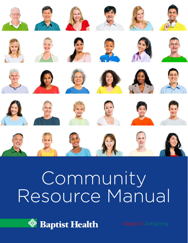

















































# Community Resource Manual

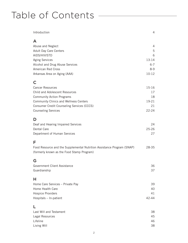## Table of Contents -

| Introduction                                                           | 4         |
|------------------------------------------------------------------------|-----------|
| A                                                                      |           |
| Abuse and Neglect                                                      | 4         |
| Adult Day Care Centers                                                 | 5         |
| AIDS/HIV/STD                                                           | 6         |
| <b>Aging Services</b>                                                  | 13-14     |
| Alcohol and Drug Abuse Services                                        | $6 - 7$   |
| <b>American Red Cross</b>                                              | $8 - 9$   |
| Arkansas Area on Aging (AAA)                                           | $10 - 12$ |
| C                                                                      |           |
| <b>Cancer Resources</b>                                                | 15-16     |
| Child and Adolescent Resources                                         | 17        |
| <b>Community Action Programs</b>                                       | 18        |
| Community Clinics and Wellness Centers                                 | 19-21     |
| Consumer Credit Counseling Services (CCCS)                             | 21        |
| <b>Counseling Services</b>                                             | $22 - 24$ |
| D                                                                      |           |
| Deaf and Hearing Impaired Services                                     | 24        |
| Dental Care                                                            | $25 - 26$ |
| Department of Human Services                                           | 27        |
| F                                                                      |           |
| Food Resource and the Supplemental Nutrition Assistance Program (SNAP) | 28-35     |
| (formerly known as the Food Stamp Program)                             |           |
| G                                                                      |           |
| Government Client Assistance                                           | 36        |
| Guardianship                                                           | 37        |
| H                                                                      |           |
| Home Care Services - Private Pay                                       | 39        |
| Home Health Care                                                       | 40        |
| <b>Hospice Providers</b>                                               | 41        |
| Hospitals - In-patient                                                 | 42-44     |
|                                                                        |           |
| Last Will and Testament                                                | 38        |
| Legal Resources                                                        | 45        |
| Lifeline                                                               | 46        |
| Living Will                                                            | 38        |
|                                                                        |           |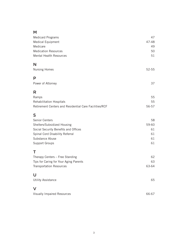## M

| Medicaid Programs<br>Medical Equipment                 | 47<br>47-48 |
|--------------------------------------------------------|-------------|
| Medicare                                               | 49          |
| <b>Medication Resources</b>                            | 50          |
| <b>Mental Health Resources</b>                         | 51          |
| N                                                      |             |
| <b>Nursing Homes</b>                                   | 52-55       |
| P                                                      |             |
| Power of Attorney                                      | 37          |
| R                                                      |             |
| Ramps                                                  | 55          |
| Rehabilitation Hospitals                               | 55          |
| Retirement Centers and Residential Care Facilities/RCF | 56-57       |
| S                                                      |             |
| Senior Centers                                         | 58          |
| Shelters/Subsidized Housing                            | 59-60       |
| Social Security Benefits and Offices                   | 61          |
| Spinal Cord Disability Referral                        | 61          |
| Substance Abuse                                        | 61          |
| Support Groups                                         | 61          |
| $\mathsf T$                                            |             |
| Therapy Centers - Free Standing                        | 62          |
| Tips for Caring for Your Aging Parents                 | 63          |
| <b>Transportation Resources</b>                        | 63-64       |
| U                                                      |             |
| <b>Utility Assistance</b>                              | 65          |
| $\checkmark$                                           |             |
| <b>Visually Impaired Resources</b>                     | 66-67       |
|                                                        |             |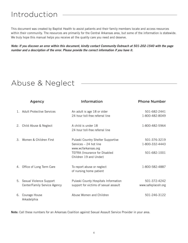## Introduction

This document was created by Baptist Health to assist patients and their family members locate and access resources within their community. The resources are primarily for the Central Arkansas area, but some of the information is statewide. We truly hope this manual helps you receive all the quality care you need and deserve.

*Note: If you discover an error within this document, kindly contact Community Outreach at 501-202-1540 with the page number and a description of the error. Please provide the correct information if you have it.*

## Abuse & Neglect

|    | Agency                                                     | <b>Information</b>                                                                                                                                    | <b>Phone Number</b>                            |
|----|------------------------------------------------------------|-------------------------------------------------------------------------------------------------------------------------------------------------------|------------------------------------------------|
|    | <b>Adult Protective Services</b>                           | An adult is age 18 or older<br>24 hour toll-free referral line                                                                                        | 501-682-2441<br>1-800-482-8049                 |
|    | 2. Child Abuse & Neglect                                   | A child is under 18<br>24 hour toll-free referral line                                                                                                | 1-800-482-5964                                 |
| 3  | Women & Children First                                     | Pulaski Country Shelter Supportive<br>Services - 24 hot line<br>www.wcfarkansas.org<br><b>TEFRA (Insurance for Disabled</b><br>Children 19 and Under) | 501-376-3219<br>1-800-332-4443<br>501-682-1001 |
| 4. | Office of Long Term Care                                   | To report abuse or neglect<br>of nursing home patient                                                                                                 | 1-800-582-4887                                 |
|    | 5. Sexual Violence Support<br>Center/Family Service Agency | Pulaski County Hospitals Information<br>support for victims of sexual assault                                                                         | 501-372-4242<br>www.safeplacelr.org            |
| 6. | Courage House<br>Arkadelphia                               | Abuse Women and Children                                                                                                                              | 501-246-3122                                   |

Note: Call these numbers for an Arkansas Coalition against Sexual Assault Service Provider in your area.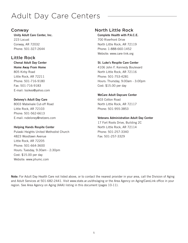## Adult Day Care Centers

### Conway

Unity Adult Care Center, Inc. 223 Locust Conway, AR 72032 Phone: 501-327-2644

## Little Rock

Chenal Adult Day Center Home Away From Home 805 Kirby Road Little Rock, AR 72211 Phone: 501-716-9180 Fax: 501-716-9183 E-mail: lssikes@yahoo.com

#### Deloney's Adult Day Care

8003 Mabelvale Cut-off Road Little Rock, AR 72103 Phone: 501-562-6613 E-mail: rvdeloney@netzero.com

#### Helping Hands Respite Center

Pulaski Heights United Methodist Church 4823 Woodlawn Avenue Little Rock, AR 72205 Phone: 501-664-3600 Hours: Tuesday, 9:30am - 2:30pm Cost: \$15.00 per day Website: www.phumc.com

## North Little Rock

Complete Health with P.A.C.E. 700 Riverfront Drive North Little Rock, AR 72119 Phone: 1-888-660-1452 Website: www.care-link.org

#### St. Luke's Respite Care Center

4106 John F. Kennedy Boulevard North Little Rock, AR 72116 Phone: 501-753-4281 Hours: Thursday, 9:00am - 3:00pm Cost: \$15.00 per day

#### WeCare Adult Daycare Center

603 Cotton Road North Little Rock, AR 72117 Phone: 501-955-3853

#### Veterans Administration Adult Day Center

17 Fort Roots Drive, Building 2C North Little Rock, AR 72114 Phone: 501-257-3340 Fax: 501-257-3329

Note: For Adult Day Health Care not listed above, or to contact the nearest provider in your area, call the Division of Aging and Adult Services at 501-682-2441. Visit www.state.ar.us/dhs/aging or the Area Agency on Aging/CareLink office in your region. See Area Agency on Aging (AAA) listing in this document (pages 10-11).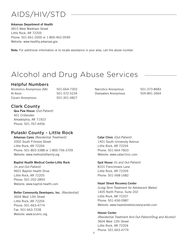## AIDS/HIV/STD

#### Arkansas Department of Health

4815 West Markham Street Little Rock, AR 72205 Phone: 501-661-2000 or 1-800-462-0599 Website: www.healthy.arkansas.gov

Note: For additional information or to locate assistance in your area, call the above number.

## Alcohol and Drug Abuse Services

## Helpful Numbers

Alcoholics Anonymous (AA) 501-664-7303 Al-Anon 501-372-5234 Cocain Anonymous 501-301-4827

Narcotics Anonymous 501-373-8683 Overeaters Anonymous 505-891-2664

## Clark County

Qua Paw House *(Out-Patient)* 401 Crittenden Arkadelphia, AR 71923 Phone: 501-767-4456

## Pulaski County - Little Rock

Arkansas Cares *(Residential Treatment)* 2002 South Fillmore Street Little Rock, AR 72204 Phone: 501-803-3388 or 1-800-756-3709 Website: www.methodistfamily.org

#### Baptist Health Medical Center-Little Rock

*(In and Out-Patient)* 9601 Baptist Health Drive Little Rock, AR 72205 Phone: 501-202-2893 Website: www.baptist-health.com

#### Better Community Developers, Inc. *(Residential)*

3604 West 12th Street Little Rock, AR 72204 Phone: 501-663-4774 Fax: 501-663-7228 Website: www.bcdinc.org Catar Clinic *(Out-Patient)* 1401 South University Avenue Little Rock, AR 72204 Phone: 501-664-7833 Website: www.catarclinic.com

Gyst House *(In and Out-Patient)* 8101 Frenchmans Lane Little Rock, AR 72209 Phone: 501-568-1682

#### Hazel Street Recovery Center

*(Long-Term Treatment for Adolescent Males)* 1405 North Pierce, Suite 202 Little Rock, AR 72207 Phone: 501-436-0987 Website: www.hazelstreetrecoverycenter.com

Hoover Center *(Residential Treatment And Out-Patient/Drug and Alcohol)* 3604 West 12th Street Little Rock, AR 72204 Phone: 501-663-4774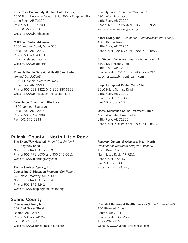#### Little Rock Community Mental Health Center, Inc.

1000 North University Avenue, Suite 200 in Evergreen Place Little Rock, AR 72207 Phone: 501-686-9300 Fax: 501-686-9618 Website: www.lrcmhc.com

#### MADD of Central Arkansas

2300 Andover Court, Suite 500 Little Rock, AR 72227 Phone: 501-246-8810 Email: ar.state@madd.org Website: www.madd.org

#### Pinnacle Pointe Behavioral HealthCare System

*(In and Out-Patient)* 11501 Financial Centre Parkway Little Rock, AR 72211 Phone: 501-223-3322 Or 1-800-880-3322 Website: www.pinnaclepointehospital.com

#### Safe Harbor Church of Little Rock

4800 Springer Boulevard Little Rock, AR 72206 Phone: 501-347-5399 Fax: 501-375-0143

## Pulaski County – North Little Rock

The BridgeWay Hospital *(In and Out-Patient)* 21 Bridgeway Road North Little Rock, AR 72113 Phone: 501-771-1500 or 1-800-245-0011 Website: www.thebridgeway.com

#### Family Services Agency, Inc.

Counseling & Education Program *(Out-Patient)* 628 West Broadway, Suite 300 North Little Rock, AR 72114 Phone: 501-372-4242 Website: www.helpingfamiliesfirst.org

### Saline County

Counseling Clinic, Inc. 307 East Sevier Street Benton, AR 72015 Phone: 501-776-4224 Fax: 501-776-0411 Website: www.counselingclinicinc.org Serenity Park *(Residential/Aftercare)* 2801 West Roosevest Little Rock, AR 72204 Phone: 402-817-2534 or 1-866-699-7627 Website: www.serenitypark.org

Sober Living, Inc. *(Residential Rehab/Transitional Living)* 4201 Barrow Road Little Rock, AR 72204 Phone: 501-438-0392 or 1-888-590-4556

#### St. Vincent Behavioral Health *(Alcohol Detox)*

6101 St. Vincent Circle Little Rock, AR 72205 Phone: 501-552-5777 or 1-800-272-7374 Website: www.stvincenthealth.com

#### Step Up Support Center *(Out-Patient)*

9010 Hilaro Springs Road Little Rock, AR 72209 Phone: 501-565-1333 Fax: 501-565-1653

#### UAMS Substance Abuse Treatment Clinic

4301 West Markham, Slot 835 Little Rock, AR 72205 Phone: 501-526-8400 or 1-800-610-4673

#### Recovery Centers of Arkansas, Inc. – North

*(Residential Treatment/Drug and Alcohol)* 1201 River Road North Little Rock, AR 72114 Phone: 501-372-4611 Fax: 501-372-1801 Website: www.rcofa.org

#### Rivendell Behavioral Health Services *(In and Out-Patient)*

100 Rivendell Drive Benton, AR 72019 Phone: 501-316-1255 1-800-264-5640 Website: www.rivendellofarkansas.com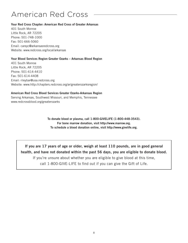## American Red Cross

#### Your Red Cross Chapter: American Red Cross of Greater Arkansas

401 South Monroe Little Rock, AR 72205 Phone: 501-748-1000 Fax: 501-666-5060 Email: careyc@arkansasredcross.org Website: www.redcross.org/local/arkansas

#### Your Blood Services Region Greater Ozarks – Arkansas Blood Region

401 South Monroe Little Rock, AR 72205 Phone: 501-614-4410 Fax: 501-614-4408 Email: rileybar@usa.redcross.org Website: www.http://chapters.redcross.org/ar/greaterozarksregion/

#### American Red Cross Blood Services Greater Ozarks-Arkansas Region

Serving Arkansas, Southwest Missouri, and Memphis, Tennessee www.redcrossblood.org/greaterozarks

> To donate blood or plasma, call 1-800-GIVELIFE (1-800-448-3543). For bone marrow donation, visit http://www.marrow.org. To schedule a blood donation online, visit http://www.givelife.org.

If you are 17 years of age or older, weigh at least 110 pounds, are in good general health, and have not donated within the past 56 days, you are eligible to donate blood.

If you're unsure about whether you are eligible to give blood at this time, call 1-800-GIVE-LIFE to find out if you can give the Gift of Life.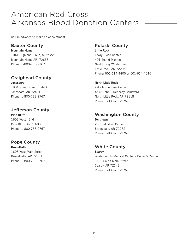## American Red Cross Arkansas Blood Donation Centers

Call in advance to make an appointment.

### Baxter County

Mountain Home

1041 Highland Circle, Suite 22 Mountain Home AR, 72653 Phone: 1-800-733-2767

## Craighead County

Jonesboro 1904 Grant Street, Suite A Jonesboro, AR 72401 Phone: 1-800-733-2767

## Jefferson County

Pine Bluff 1602 West 42nd Pine Bluff, AR 71603 Phone: 1-800-733-2767

## Pope County

Russellville 1608 West Main Street Russellville, AR 72801 Phone: 1-800-733-2767

## Pulaski County

Little Rock Lowry Blood Center 401 Sound Monroe Next to Ray Winder Field Little Rock, AR 72205 Phone: 501-614-4400 or 501-614-4545

#### North Little Rock

Vali-Hi Shopping Center 4548 John F Kennedy Boulevard North Little Rock, AR 72118 Phone: 1-800-733-2767

## Washington County

**Tontitown** 250 Industrial Circle East Springdale, AR 72762 Phone: 1-800-733-2767

## White County

**Searcy** White County Medical Center – Doctor's Pavilion 1120 South Main Street Searcy, AR 72143 Phone: 1-800-733-2767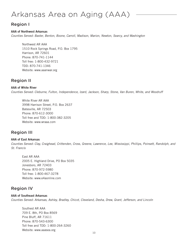## Arkansas Area on Aging (AAA)

## Region I

#### AAA of Northwest Arkansas

*Counties Served: Baxter, Benton, Boone, Carroll, Madison, Marion, Newton, Searcy, and Washington*

Northwest AR AAA 1510 Rock Springs Road, P.O. Box 1795 Harrison, AR 72601 Phone: 870-741-1144 Toll free: 1-800-432-9721 TDD: 870-741-1346 Website: www.aaanwar.org

### Region II

#### AAA of White River

*Counties Served: Cleburne, Fulton, Independence, Izard, Jackson, Sharp, Stone, Van Buren, White, and Woodruff*

White River AR AAA 3998 Harrison Street, P.O. Box 2637 Batesville, AR 72503 Phone: 870-612-3000 Toll free and TDD: 1-800-382-3205 Website: www.wraaa.com

## Region III

#### AAA of East Arkansas

*Counties Served: Clay, Craighead, Crittenden, Cross, Greene, Lawrence, Lee, Mississippi, Phillips, Poinsett, Randolph, and St. Francis*

East AR AAA 2005 E. Highland Drive, PO Box 5035 Jonesboro, AR 72403 Phone: 870-972-5980 Toll free: 1-800-467-3278 Website: www.e4aonline.com

## Region IV

#### AAA of Southeast Arkansas

*Counties Served: Arkansas, Ashley, Bradley, Chicot, Cleveland, Desha, Drew, Grant, Jefferson, and Lincoln*

Southest AR AAA 709 E. 8th, PO Box 8569 Pine Bluff, AR 71611 Phone: 870-543-6300 Toll free and TDD: 1-800-264-3260 Website: www.aaasea.org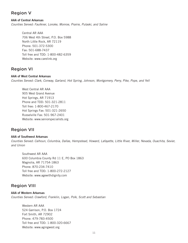## Region V

AAA of Central Arkansas *Counties Served: Faulkner, Lonoke, Monroe, Prairie, Pulaski, and Saline*

> Central AR AAA 706 West 4th Street, P.O. Box 5988 North Little Rock, AR 72119 Phone: 501-372-5300 Fax: 501-688-7437 Toll free and TDD: 1-800-482-6359 Website: www.carelink.org

### Region VI

#### AAA of West Central Arkansas

*Counties Served: Clark, Conway, Garland, Hot Spring, Johnson, Montgomery, Perry, Pike, Pope, and Yell*

West Central AR AAA 905 West Grand Avenue Hot Springs, AR 71913 Phone and TDD: 501-321-2811 Toll free: 1-800-467-2170 Hot Springs Fax: 501-321-2650 Russelville Fax: 501-967-2401 Website: www.seniorspecialists.org

### Region VII

#### AAA of Southwest Arkansas

*Counties Served: Calhoun, Columbia, Dallas, Hempstead, Howard, Lafayette, Little River, Miller, Nevada, Ouachita, Sevier, and Union*

Southwest AR AAA 600 Columbia County Rd 11 E, PO Box 1863 Magnolia, AR 71754-1863 Phone: 870-234-7410 Toll free and TDD: 1-800-272-2127 Website: www.agewithdignity.com

## Region VIII

AAA of Western Arkansas *Counties Served: Crawford, Franklin, Logan, Polk, Scott and Sebastian*

> Western AR AAA 524 Garrison, P.O. Box 1724 Fort Smith, AR 72902 Phone: 479-783-4500 Toll free and TDD: 1-800-320-6667 Website: www.agingwest.org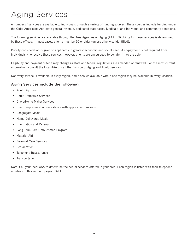## Aging Services

A number of services are available to individuals through a variety of funding sources. These sources include funding under the Older Americans Act, state general revenue, dedicated state taxes, Medicaid, and individual and community donations.

The following services are available through the Area Agencies on Aging (AAA). Eligibility for these services is determined by those offices. In most cases, clients must be 60 or older (unless otherwise identified).

Priority consideration is given to applicants in greatest economic and social need. A co-payment is not required from individuals who receive these services; however, clients are encouraged to donate if they are able.

Eligibility and payment criteria may change as state and federal regulations are amended or renewed. For the most current information, consult the local AAA or call the Division of Aging and Adult Services.

Not every service is available in every region, and a service available within one region may be available in every location.

#### Aging Services include the following:

- Adult Day Care
- Adult Protective Services
- Chore/Home Maker Services
- Client Representation (assistance with application process)
- Congregate Meals
- Home Delievered Meals
- Information and Referral
- Long-Term Care Ombudsman Program
- Material Aid
- Personal Care Services
- Socialization
- Telephone Reassurance
- Transportation

Note: Call your local AAA to determine the actual services offered in your area. Each region is listed with their telephone numbers in this section, pages 10-11.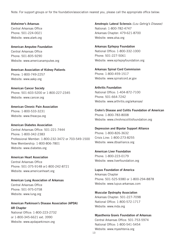Note: For support groups or for the foundation/association nearest you, please call the appropriate office below:

Alzheimer's Arkansas Central Arkansas Office Phone: 501-224-0021 Website: www.alark.org

American Amputee Foundation Central Arkansas Office Phone: 501-835-9290 Website: www.americanamputee.org

American Association of Kidney Patients Phone: 1-800-749-2257 Website: www.aakp.org

American Cancer Society Phone: 501-603-5200 or 1-800-227-2345 Website: www.cancer.org

American Chronic Pain Association Phone: 1-800-533-3231 Website: www.theacpa.org

American Diabetes Association Central Arkansas Office: 501-221-7444 Phone: 1-800-342-2383 Professional Member: 1-800-232-3472 or 703-549-1500 New Membership: 1-800-806-7801 Website: www.diabetes.org

American Heart Association Central Arkansas Office Phone: 501-375-9148 or1-800-242-8721 Website: www.americanheart.org

American Lung Association of Arkansas Central Arkansas Office Phone: 501-975-0758 Website: www.lung.org

American Parkinson's Disease Association (APDA) AR Chapter National Office: 1-800-223-2732

or 1-800-345-6621 ext. 3990 Website: www.apdaparkinson.org Amotropic Lateral Sclerosis *(Lou Gehrig's Disease)* National: 1-800-782-4747 Arkansas Chapter: 479-621-8700 Website: www.alsa.org

Arkansas Epilepsy Foundation National Office: 1-800-332-1000 Phone: 501-227-5061 Website: www.epilepsyfoundation.org

Arkansas Spinal Cord Commission Phone: 1-800-459-1517 Website: www.spinalcord.ar.gov

Arthritis Foundation National Office: 1-404-872-7100 Phone: 501-664-7242 Website: www.arthritis.org/arkansas/

Crohn's Disease and Colitis Foundation of American Phone: 1-800-783-8008 Website: www.chrohnscolitisfoundation.org

Depression and Bipolar Support Alliance Phone: 1-800-826-3632 Crisis Line: 1-800-273-8255 Website: www.dbsalliance.org

American Liver Foundation Phone: 1-800-223-0179 Website: www.liverfoundation.org

Lupus Foundation of America Arkansas Chapter Phone: 501-525-9380 or 1-800-294-8878 Website: www.lupus-arkansas.com

Muscular Dystrophy Association Arkansas Chapter: 501-227-7098 National Office: 1-800-572-1717 Website: www.mda.org

Myasthenia Gravis Foundation of Arkansas Central Arkansas Office: 501-753-5974 National Office: 1-800-541-5454 Website: www.myashtenia.org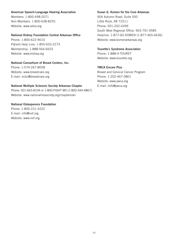#### American Speech-Language Hearing Association

Members: 1-800-498-2071 Non-Members: 1-800-638-8255 Website: www.asha.org

#### National Kidney Foundation Central Arkansas Office

Phone: 1-800-622-9010 Patient Help Line: 1-855-653-2273 Membership: 1-888-564-6653 Website: www.kidney.org

#### National Consortium of Breast Centers, Inc.

Phone: 1-574-267-8058 Website: www.breastcare.org E-mail: ncbc@breastcare.org

#### National Multiple Sclerosis Society Arkansas Chapter

Phone: 501-663-8104 or 1-800-FIGHT MS (1-800-344-4867) Website: www.nationalmssociety.org/chapters/arr

### National Osteoporosis Foundation

Phone: 1-800-231-4222 E-mail: info@nof.org Website: www.nof.org

#### Susan G. Komen for the Cure Arkansas

904 Autumn Road, Suite 500 Little Rock, AR 72211 Phone: 501-202-4399 South West Regional Office: 903-791-9585 Helpline: 1-877-GO KOMEN (1-877-465-6636) Website: www.komenarkansas.org

#### Tourette's Syndrome Association

Phone: 1-888-4-TOURET Website: www.tourette.org

#### YWCA Encore Plus

Breast and Cervical Cancer Program Phone: 1-202-467-0801 Website: www.ywca.org E-mail: Info@ywca.org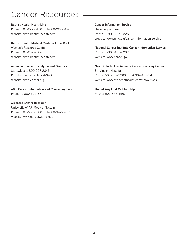## Cancer Resources

Baptist Health HealthLine Phone: 501-227-8478 or 1-888-227-8478 Website: www.baptist-health.com

Baptist Health Medical Center – Little Rock Women's Resource Center Phone: 501-202-7386 Website: www.baptist-health.com

American Cancer Society Patient Services Statewide: 1-800-227-2345 Pulaski County: 501-664-3480 Website: www.cancer.org

AMC Cancer Information and Counseling Line Phone: 1-800-525-3777

Arkansas Cancer Research University of AR Medical System Phone: 501-686-8300 or 1-800-942-8267 Website: www.cancer.wams.edu

Cancer Information Service University of Iowa Phone: 1-800-237-1225 Website: www.uihc.org/cancer-information-service

National Cancer Institute Cancer Information Service Phone: 1-800-422-6237 Website: www.cancer.gov

New Outlook: The Women's Cancer Recovery Center St. Vincent Hospital Phone: 501-552-3900 or 1-800-446-7341 Website: www.stvincenthealth.com/newoutlook

United Way First Call for Help Phone: 501-376-4567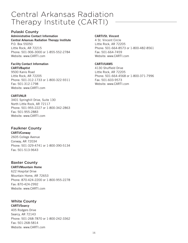## Central Arkansas Radiation Therapy Institute (CARTI)

#### Pulaski County

#### Administrative Contact Information Central Arkansas Radiation Therapy Institute

P.O. Box 55050 Little Rock, AR 72215 Phone: 501-906-3000 or 1-855-552-2784 Website: www.CARTI.com

#### Facility Contact Information CARTI/Baptist

9500 Kanis Road Little Rock, AR 72205 Phone: 501-312-1733 or 1-800-322-9311 Fax: 501-312-1798 Website: www.CARTI.com

#### CARTI/NLR

3401 Springhill Drive, Suite 130 North Little Rock, AR 72117 Phone: 501-955-2227 or 1-800-342-2863 Fax: 501-955-2883 Website: www.CARTI.com

## Faulkner County

CARTI/Conway

2605 College Avenue Conway, AR 72034 Phone: 501-329-4741 or 1-800-390-5134 Fax: 501-513-9643

#### Baxter County

#### CARTI/Mountain Home

622 Hospital Drive Mountain Home, AR 72653 Phone: 870-424-2200 or 1-800-955-2278 Fax: 870-424-2992 Website: www.CARTI.com

## White County

CARTI/Searcy 405 Rodgers Drive Searcy, AR 72143 Phone: 501-268-7870 or 1-800-242-3362 Fax: 501-268-5814 Website: www.CARTI.com

#### CARTI/St. Vincent

4 St. Vincent Circle Little Rock, AR 72205 Phone: 501-664-8573 or 1-800-482-8561 Fax: 501-664-7459 Website: www.CARTI.com

#### CARTI/UAMS

4130 Shuffield Drive Little Rock, AR 72205 Phone: 501-664-4568 or 1-800-371-7996 Fax: 501-603-9573 Website: www.CARTI.com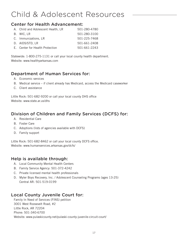## Child & Adolescent Resources

### Center for Health Advancement:

| A. Child and Adolescent Health, LR | 501-280-4780 |
|------------------------------------|--------------|
| B. WIC.LR                          | 501-280-3100 |
| C. Immunizations, LR               | 501-225-7468 |
| D. AIDS/STD, LR                    | 501-661-2408 |
| E. Center for Health Protection    | 501-661-2243 |

Statewide: 1-800-275-1131 or call your local county health department. Website: www.healthyarkansas.com

## Department of Human Services for:

- A. Economic services
- B. Medical service if client already has Medicaid, access the Medicaid caseworker
- C. Client assistance

Little Rock: 501-682-9200 or call your local county DHS office Website: www.state.ar.us/dhs

## Division of Children and Family Services (DCFS) for:

- A. Residential Care
- B. Foster Care
- C. Adoptions (lists of agencies available with DCFS)
- D. Family support

Little Rock: 501-682-8462 or call your local county DCFS office. Website: www.humanservices.arkansas.gov/dcfs/

### Help is available through:

- A. Local Community Mental Health Centers
- B. Family Service Agency: 501-372-4242
- C. Private licensed mental health professionals
- D. Myler Boys Recovery, Inc. / Adolescent Counseling Programs (ages 13-25) Central AR: 501-519-0199

## Local County Juvenile Court for:

Family In Need of Services (FINS) petition 3001 West Roosevelt Road, #2 Little Rock, AR 72204 Phone: 501-340-6700 Website: www.pulaskicounty.net/pulaski-county-juvenile-circuit-court/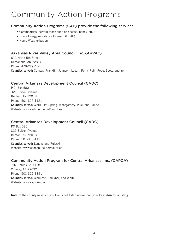## Community Action Programs

#### Community Action Programs (CAP) provide the following services:

- Commodities (certain foods such as cheese, honey, etc.)
- Home Energy Assistance Program (HEAP)
- Home Weatherization

### Arkansas River Valley Area Council, Inc. (ARVAC)

612 North 5th Street Dardanelle, AR 72834 Phone: 479-229-4861 Counties served: Conway, Franklin, Johnson, Logan, Perry, Polk, Pope, Scott, and Yell

#### Central Arkansas Development Council (CADC)

P.O. Box 580 321 Edison Avenue Benton, AR 72018 Phone: 501-315-1121 Counties served: Clark, Hot Spring, Montgomery, Pike, and Saline Website: www.cadconline.net/counties

#### Central Arkansas Development Council (CADC)

PO Box 580 321 Edison Avenue Benton, AR 72018 Phone: 501-315-1121 Counties served: Lonoke and Pulaski Website: www.cadconline.net/counties

#### Community Action Program for Central Arkansas, Inc. (CAPCA)

707 Robins St, #118 Conway, AR 72032 Phone: 501-329-3891 Counties served: Cleburne, Faulkner, and White Website: www.capcainc.org

Note: If the county in which you live is not listed above, call your local AAA for a listing.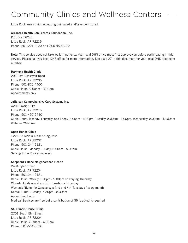## Community Clinics and Wellness Centers

Little Rock area clinics accepting uninsured and/or underinsured.

#### Arkansas Health Care Access Foundation, Inc.

P.O. Box 56248 Little Rock, AR 72215 Phone: 501-221-3033 or 1-800-950-8233

Note: This service does not take walk-in patients. Your local DHS office must first approve you before participating in this service. Please call you local DHS office for more information. See page 27 in this document for your local DHS telephone number.

#### Harmony Health Clinic

201 East Roosevelt Road Little Rock, AR 72206 Phone: 501-875-4400 Clinic Hours: 9:00am - 3:00pm Appointments only

#### Jefferson Comprehensive Care System, Inc.

4206 Frazier Pike Little Rock, AR 72215 Phone: 501-490-2440 Clinic Hours: Monday, Thursday, and Friday, 8:00am - 6:30pm, Tuesday, 8:00am - 7:00pm, Wednesday, 8:00am - 12:00pm Walk-ins Welcome

#### Open Hands Clinic

1225 Dr. Martin Luther King Drive Little Rock, AR 72202 Phone: 501-244-2121 Clinic Hours: Monday - Friday, 8:00am - 5:00pm Serving Little Rock's homeless

#### Shepherd's Hope Neighborhood Health

2404 Tyler Street Little Rock, AR 72204 Phone: 501-244-2121 Clinic Hours: Weekly 5:30pm - 9:00pm on varying Thursday Closed: Holidays and any 5th Tuesday or Thursday Women's Nights for Gynecology: 2nd and 4th Tuesday of every month Dental Clinic: Tuesday, 5:30pm - 8:30pm Appointment only Medical Services are free but a contribution of \$5 is asked is required

#### St. Francis House Clinic

2701 South Elm Street Little Rock, AR 72204 Clinic Hours: 8:30am - 4:00pm Phone: 501-664-5036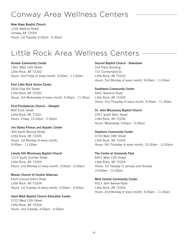## Conway Area Wellness Centers

New Hope Baptist Church

1232 Watkins Street Conway, AR 72034 Hours: 1st Tuesday 4:30pm - 6:30pm

## Little Rock Area Wellness Centers

Dunbar Community Center 1001 West 16th Street Little Rock, AR 72202 Hours: 3rd Friday of every month, 9:00am - 11:00am

East Little Rock Senior Center 2500 East 6th Street Little Rock, AR 72202 Hours: 3rd Wednesday of every month, 9:30am - 11:30am

First Presbyterian Church – Stewpot 800 Scott Street Little Rock, AR 72201 Hours: Friday, 12:00pm - 2:00pm

Jim Dailey Fitness and Aquatic Center 300 South Monroe Street Little Rock, AR 72205 Hours: 1st Monday of every month, 9:00am - 11:00am

Liberty Hill Missionary Baptist Church 1215 South Schiller Street Little Rock, AR 72204 Hours: 2nd Monday of every month, 3:00pm - 6:00pm

Mosaic Church of Central Arkansas 6420 Colonol Glenn Road Little Rock, AR 72204 Hours: 1st Tuesday of every month, 2:00pm - 4:00pm

Saint Mark Baptist Church Education Center 5722 West 12th Street Little Rock, AR 72204 Hours: 2nd Tuesday, 3:00pm - 6:00pm

Second Baptist Church - Downtown 2nd Place Building 721 Cumberland St. Little Rock, AR 72202 Hours: 2nd Monday of every month, 9:00am - 11:00am

Southwest Community Center 6401 Baseline Road Little Rock, AR 72209 Hours: 2nd Thursday of every month, 9:30am - 11:30am

St. John Missionary Baptist Church 2501 South Main Street Little Rock, AR 72206 Hours: Wednesday 3:00pm - 6:00pm

Stephens Community Center 3720 West 18th Street Little Rock, AR 72204 Hours: 4th Thursday of every month, 10:30am - 12:30pm

The Centre at University Park 6401 West 12th Street Little Rock, AR 72204 Hours: 1st Tuesday in January and October 10:00am - 12:00pm

West Central Community Center 4521 John Barrow Road Little Rock, AR 72204 Hours: 2nd Monday of every month, 9:30am - 11:30am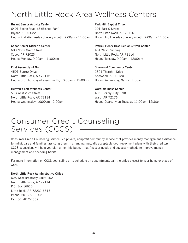## North Little Rock Area Wellness Centers

Bryant Senior Activity Center

6401 Boone Road #3 (Bishop Park) Bryant, AR 72022 Hours: 2nd Wednesday of every month, 9:00am - 11:00am

Cabot Senior Citizen's Center 600 North Grant Street Cabot, AR 72023 Hours: Monday, 9:00am - 11:00am

First Assembly of God 4501 Burrow Drive North Little Rock, AR 72116 Hours: 3rd Thursday of every month, 10:00am - 12:00pm

#### Heaven's Loft Wellness Center

518 West 26th Street North Little Rock, AR 72114 Hours: Wednesday, 10:00am - 2:00pm

#### Park Hill Baptist Church

201 East C Street North Little Rock, AR 72116 Hours: 1st Thursday of every month, 9:00am - 11:00am

### Patrick Henry Hays Senior Citizen Center

401 West Pershing North Little Rock, AR 72114 Hours: Tuesday, 9:00am - 12:00pm

#### Sherwood Community Center 2301 Thornhill Drive

Sherwood, AR 72120 Hours: Wednesday, 9am - 11:00am

#### Ward Wellness Center

405 Hickory (City Hall) Ward, AR 72176 Hours: Quarterly on Tuesday, 11:00am -12:30pm

## Consumer Credit Counseling Services (CCCS)

Consumer Credit Counseling Service is a private, nonprofit community service that provides money management assistance to individuals and families, assisting them in arranging mutually acceptable debt repayment plans with their creditors. CCCS counselors will help you plan a monthly budget that fits your needs and suggest methods to improve money, management and spending habits.

For more information on CCCS counseling or to schedule an appointment, call the office closest to your home or place of work.

#### North Little Rock Administrative Office

628 West Broadway, Suite 102 North Little Rock, AR 72114 P.O. Box 16615 Little Rock, AR 72231-6615 Phone: 501-753-0202 Fax: 501-812-4309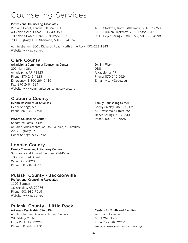## Counseling Services

#### Professional Counseling Associates

2nd and Depot, Lonoke, 501-676-3151 405 North 2nd, Cabot, 501-843-3503 109 North Hazen, Hazen, 870-255-3527 7800 Highway 107, Sherwood, 501-835-4174 4353 Stockton, North Little Rock, 501-955-7600 1109 Burman, Jacksonville, 501-982-7515 9110 Geyer Springs, Little Rock, 501-568-4298

Administration: 3601 Richards Road, North Little Rock, 501-221-1843 Website: www.pca-ar.org

## Clark County

Arkadelphia Community Counseling Center 201 North 26th Arkadelphia, AR 71923 Phone: 870-246-4123 Emergency: 1-800-264-2410 Fax: 870-246-4184 Website: www.communitycounselingservices.org Dr. Bill Viser OBU Arkadelphia, AR Phone: 870-245-5524 E-mail: viserw@obu.edu

### Cleburne County

Health Resources of Arkansas Heber Springs, AR Phone: 501-362-7595

#### Private Counseling Center

Sandra Williams, LCSW Children, Adolescents, Adults, Couples, or Families 2237 Highway 25B Heber Springs, AR 72543

### Lonoke County

Family Counseling & Recovery Centers Substance and Alcohol Recovery, Out-Patient 105 South 3rd Street Cabot, AR 72023 Phone: 501-843-1595

## Pulaski County - Jacksonville

Professional Counseling Associates 1109 Burman Jacksonville, AR 72076 Phone: 501-982-7515 Website: www.pca-ar.org

## Pulaski County - Little Rock

Arkansas Psychiatric Clinic PA Adults, Children, Adolescents, and Seniors 28 Rahling Circle Little Rock, AR 72223 Phone: 501-448-0170

#### Family Counseling Center

Sherry Presley, MS, LPC, LMFT 510 West Main Street, #2 Heber Springs, AR 72543 Phone: 501-362-5525

#### Centers for Youth and Families

Youth and Families 6601 West 12th Little Rock, AR 72204 Website: www.youthandfamilies.org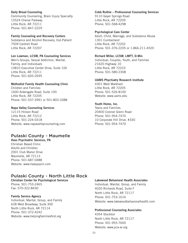#### Daily Bread Counseling Community Counseling, Brain Injury Specialty 15524 Chenal Parkway Little Rock, AR 72211 Phone: 501-847-2229

#### Family Counseling and Recovery Centers

Substance and Alcohol Recovery, Out-Patient 7509 Cantrell Road Little Rock, AR 72207

#### Len Lowman, LCSW, PA Counseling Services

Men's Groups, Sexual Addiction, Marital, Family, and Individuals 10810 Executive Center Drive, Suite 100 Little Rock, AR 72211 Phone: 501-605-2695

#### Methodist Family Health Counseling Clinic

Children and Families 1600 Aldersgate Road, Suite 100 Little Rock, AR 72205 Phone: 501-537-3991 or 501-803-3388

#### Napa Valley Counseling Services

12115 Hinson Road Little Rock, AR 72212 Phone: 501-224-0318 Website: www.napavalleycounseling.com

## Pulaski County - Maumelle

Hass Psychiatric Services, PA Christian Based Clinic Adults and Children 2001 Club Manor Drive Maumelle, AR 72113 Phone: 501-687-0488 Website: www.haaspsych.com

## Pulaski County - North Little Rock

Christian Center for Psychological Services Phone: 501-753-2465 Fax: 570-322-8430

#### Family Service Agency

Individual, Marital, Group, and Family 628 West Broadway, Suite 300 North Little Rock, AR 72114 Phone: 501-372-4242 Website: www.helpingfamiliesfirst.org

#### Cobb Ruthie – Professional Counseling Services

9110 Geyer Springs Road Little Rock, AR 72209 Phone: 501-568-4298

#### Psychological Care Center

Adult, Child, Marriage, and Substance Abuse 1301 Cumberland Little Rock, AR 72202 Phone: 501-376-2205 or 1-866-211-4520

#### Richard Miller, LCSW, LMFT, D.Min

Individual, Couples, Youth, and Families 21620 Highway 10 Little Rock, AR 72223 Phone: 501-580-2308

#### UAMS Phychiatry Research Institute

4301 West Markham Little Rock, AR 72205 Phone: 501-526-8100 Website: www.uams.edu

#### Youth Home, Inc.

Teens and Families 20400 Colonel Glenn Road Phone: 501-954-7470 10 Corporate Hill Drive, #330 Phone: 501-954-7470

#### Lakewood Behavioral Health Associates

Individual, Marital, Group, and Family 4020 Richards Road, Suite F North Little Rock, AR 72117 Phone: 501-753-1616 Website: www.lakewoodbehavioralhealth.com

#### Professional Counseling Associates

4354 Stockton North Little Rock, AR 72117 Phone: 501-955-7600 Website: www.pca-ar.org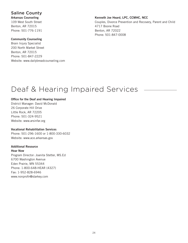### Saline County

Arkansas Counseling 109 West South Street Benton, AR 72015 Phone: 501-776-1191

#### Community Counseling

Brain Injury Specialist 200 North Market Street Benton, AR 72015 Phone: 501-847-2229 Website: www.dailybreadcounseling.com

#### Kenneth Joe Heard, LPC, CCMHC, NCC

Couples, Divorce Prevention and Recovery, Parent and Child 4717 Boone Road Benton, AR 72022 Phone: 501-847-0008

## Deaf & Hearing Impaired Services

#### Office for the Deaf and Hearing Impaired

District Manager: David McDonald 26 Corporate Hill Drive Little Rock, AR 72205 Phone: 501-324-9521 Website: www.arsinfar.org

#### Vocational Rehabilitation Services

Phone: 501-296-1600 or 1-800-330-6032 Website: www.ace.arkansas.gov

### Additional Resource

Hear Now Program Director: Joanita Stetter, MS.Ed 6700 Washington Avenue Eden Prairie, MN 55344 Phone: 1-800-648-HEAR (4327) Fax: 1-952-828-6946 www.nonprofir@starkey.com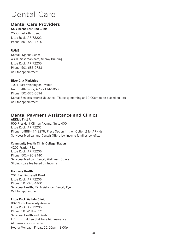## Dental Care

## Dental Care Providers

St. Vincent East End Clinic 2500 East 6th Street Little Rock, AR 72202 Phone: 501-552-4710

#### UAMS

Dental Hygiene School 4301 West Markham, Shoray Building Little Rock, AR 72205 Phone: 501-686-5733 Call for appointment

#### River City Ministries

1021 East Washington Avenue North Little Rock, AR 72114-5853 Phone: 501-376-6694 Dental Services offered (Must call Thursday morning at 10:00am to be placed on list) Call for appointment

## Dental Payment Assistance and Clinics

#### ARKids First A 500 President Clinton Avenue, Suite 400 Little Rock, AR 72201 Phone: 1-888-474-8275, Press Option 4, then Option 2 for ARKids Services: Medical and Dental; Offers low income families benefits.

#### Community Health Clinic-College Station

4206 Frazier Pike Little Rock, AR 72206 Phone: 501-490-2440 Services: Medical, Dental, Wellness, Others Sliding scale fee based on Income

#### Harmony Health

201 East Roosevelt Road Little Rock, AR 72206 Phone: 501-375-4400 Services: Health, RX Assistance, Dental, Eye Call for appointment

#### Little Rock Walk-In Clinic

802 North University Avenue Little Rock, AR 72205 Phone: 501-291-2322 Services: Health and Dental FREE to children that have NO insurance. ALL insurances accepted. Hours: Monday - Friday, 12:00pm - 8:00pm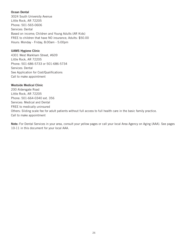#### Ocean Dental

3024 South University Avenue Little Rock, AR 72205 Phone: 501-565-0606 Services: Dental Based on income; Children and Young Adults (AR Kids) FREE to children that have NO insurance; Adults: \$50.00 Hours: Monday - Friday, 8:00am - 5:00pm

#### UAMS Hygiene Clinic

4301 West Markham Street, #609 Little Rock, AR 72205 Phone: 501-686-5733 or 501-686-5734 Services: Dental See Application for Cost/Qualifications Call to make appointment

#### Westside Medical Clinic

200 Aldersgate Road Little Rock, AR 72205 Phone: 501-664-0340 ext. 356 Services: Medical and Dental FREE to medically uninsured Others: Sliding scale fee for adult patients without full access to full health care in the basic family practice. Call to make appointment

Note: For Dental Services in your area, consult your yellow pages or call your local Area Agency on Aging (AAA). See pages 10-11 in this document for your local AAA.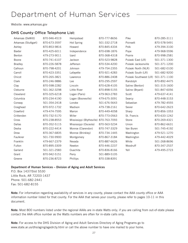## Department of Human Services

Website: www.arkansas.gov

#### DHS County Office Telephone List:

| Arkansas (DeWitt)    | 870-946-4519 | Hempstead                              | 870-777-8656 | Pike                   | 870-285-3111 |
|----------------------|--------------|----------------------------------------|--------------|------------------------|--------------|
| Arkansas (Stuttgart) | 870-673-3597 | Hot Spring                             | 501-332-2718 | Poinsett               | 870-578-5491 |
| Ashley               | 870-853-9816 | Howard                                 | 870-845-4334 | Polk                   | 479-394-3100 |
| <b>Baxter</b>        | 870-425-6011 | Independence                           | 870-698-1876 | Pope                   | 479-968-5596 |
| Benton               | 479-273-9011 | Izard                                  | 870-368-4318 | Prairie                | 870-998-2581 |
| Boone                | 870-741-6107 | Jackson                                | 870-523-9828 | Pulaski East (LR)      | 501-371-1300 |
| <b>Bradley</b>       | 870-226-5878 | Jefferson                              | 870-534-4200 | Pulaski Jacksonville   | 501-371-1200 |
| Calhoun              | 870-798-4201 | Johnson                                | 479-754-2355 | Pulaski North (NLR)    | 501-682-0100 |
| Carroll              | 870-423-3351 | Lafayette                              | 870-921-4283 | Pulaski South (LR)     | 501-682-9200 |
| Chicot               | 870-265-3821 | Lawrence                               | 870-886-2408 | Pulaski Southwest (LR) | 501-371-1100 |
| Clark                | 870-246-9886 | Lee                                    | 870-295-2597 | Randolph               | 870-892-4475 |
| Clay                 | 870-598-2282 | Lincoln                                | 870-628-4105 | Saline (Benton)        | 501-315-1600 |
| Cleburne             | 501-362-3298 | Little River                           | 870-898-5155 | Saline (Bryant)        | 501-847-6056 |
| Cleveland            | 870-325-6218 | Logan (Paris)                          | 479-963-2783 | Scott                  | 479-637-4141 |
| Columbia             | 870-234-4190 | Logan (Booneville)                     | 479-675-3091 | Searcy                 | 870-448-3153 |
| Conway               | 501-354-2418 | Lonoke                                 | 501-676-5643 | Sebastian              | 479-782-4555 |
| Craighead            | 870-972-1732 | Madison                                | 479-738-2161 | Sevier                 | 870-642-2623 |
| Crawford             | 479-474-7595 | Marion                                 | 870-449-4058 | Sharp                  | 870-856-1053 |
| Crittenden           | 870-732-5170 | Miller                                 | 870-773-0563 | St. Francis            | 870-633-1242 |
| Cross                | 870-238-8553 | Mississippi (Blytheville) 870-763-7093 |              | Stone                  | 870-269-4321 |
| Dallas               | 870-352-5115 | Mississippi (Osceola)                  | 870-563-5234 | Union                  | 870-862-6631 |
| Desha                | 870-222-4414 | Monroe (Clarendon)                     | 870-747-3329 | Van Buren              | 501-745-4192 |
| Drew                 | 870-367-6835 | Monroe (Brinkley)                      | 870-734-1445 | Washington             | 479-521-1270 |
| Faulkner             | 501-730-9900 | Montgomery                             | 870-867-3184 | Washington             | 479-442-4029 |
| Franklin             | 479-667-2379 | Nevada                                 | 870-887-6626 | White                  | 501-268-8696 |
| Fulton               | 870-895-3309 | Newton                                 | 870-446-2237 | Woodruff               | 870-347-2537 |
| Garland              | 501-321-2583 | Ouachita                               | 870-836-8166 | Yell                   | 479-495-2723 |
| Grant                | 870-942-5151 | Perry                                  | 501-889-5105 |                        |              |
| Greene               | 870-236-8723 | Phillips                               | 870-338-8391 |                        |              |

#### Department of Human Services – Division of Aging and Adult Services

P.O. Box 1437/Slot S530 Little Rock, AR 72203-1437 Phone: 501-682-2441 Fax: 501-682-8155

Note: For information regarding availability of services in any county, please contact the AAA county office or AAA information number listed for that county. For the AAA that serves your county, please refer to pages 10-11 in this document.

Note: Most 800 numbers listed under the regional AAAs are in-state Watts only; if you are calling from out-of-state please contact the AAA office number as the Watts numbers are often for in-state calls only.

Note: For access to the DHS Division of Aging and Adult Services Directory of Aging Programs go to www.state.ar.us/dhs/aging/agedrcty.html or call the above number to have one mailed to your home.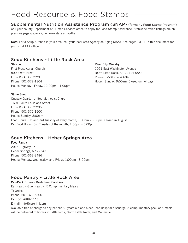## Food Resource & Food Stamps

Supplemental Nutrition Assistance Program (SNAP) (formerly Food Stamp Program) Call your county Department of Human Services office to apply for Food Stamp Assistance. Statewide office listings are on previous page (page 27), or www.state.ar.us/dhs.

Note: For a Soup Kitchen in your area, call your local Area Agency on Aging (AAA). See pages 10-11 in this document for your local AAA office.

## Soup Kitchens – Little Rock Area

Stewpot First Presbyterian Church 800 Scott Street Little Rock, AR 72201 Phone: 501-372-1804 Hours: Monday - Friday, 12:00pm - 1:00pm River City Ministry

1021 East Washington Avenue North Little Rock, AR 72114-5853 Phone: 1-501-376-6694 Hours: Sunday, 9:00am, Closed on holidays

#### Stone Soup

Quapaw Quarter United Methodist Church 1601 South Louisiana Street Little Rock, AR 72206 Phone: 501-375-1600 Hours: Sunday, 3:00pm Food Hours: 1st and 3rd Tuesday of every month, 1:00pm - 3:00pm, Closed in August Pet Food Hours: 3rd Tuesday of the month, 1:00pm - 3:00pm

## Soup Kitchens – Heber Springs Area

Food Pantry 2016 Highway 25B Heber Springs, AR 72543 Phone: 501-362-8486

Hours: Monday, Wednesday, and Friday, 1:00pm - 3:00pm

### Food Pantry - Little Rock Area

CarePack Express Meals from CareLink Eat Healthy-Stay Healthy, 5 Complimentary Meals To Order: Phone: 501-372-5300 Fax: 501-688-7443 E-mail: info@care-link.org Available free of charge to any patient 60 years old and older upon hospital discharge. A complimentary pack of 5 meals will be delivered to homes in Little Rock, North Little Rock, and Maumelle.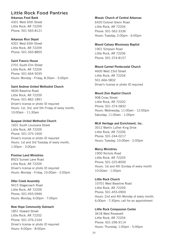### Little Rock Food Pantries

Arkansas Food Bank

4301 West 65th Street Little Rock, AR 72209 Phone: 501-565-8121

#### Arkansas Rice Depot

4301 West 65th Street Little Rock, AR 72209 Phone: 501-565-8855

#### Saint Francis House

2701 South Elm Street Little Rock, AR 72204 Phone: 501-664-5035 Hours: Monday - Friday, 8:30am - 5:00pm

#### Saint Andrew United Methodist Church

4600 Baseline Road Little Rock, AR 72209 Phone: 501-862-1891 Driver's license or photo ID required Hours: 1st, 3rd, and 5th Friday of every month, 10:00am - 11:30am

#### Quapaw United Methodist Church

1601 South Louisiana Street Little Rock, AR 72209 Phone: 501-375-1600 Driver's license or photo ID required Hours: 1st and 3rd Tuesday of every month, 1:00pm - 3:00pm

#### Promise Land Ministries

8923 Sunset Lane Road Little Rock, AR 72209 Driver's license or photo ID required Hours: Monday - Friday, 10:00am - 2:00pm

#### Otter Creek Assembly

9415 Stagecoach Road Little Rock, AR 72209 Phone: 501-455-0946 Hours: Monday, 6:00pm - 7:00pm

#### New Hope Community Outreach

1851 Howard Street Little Rock, AR 72202 Phone: 501-376-2164 Driver's license or photo ID required Hours: 4:00pm - 8:00pm

#### Mosaic Church of Central Arkansas

6420 Colonel Glenn Road Little Rock, AR 72204 Phone: 501-562-3336 Hours: Tuesday, 2:00pm - 6:00pm

#### Mount Calvary Missionary Baptist

1901 Simpson Road Little Rock, AR 72206 Phone: 501-374-8157

#### Mount Carmel Pentecostal Church

4600 West 23rd Street Little Rock, AR 72204 501-666-5832 Driver's license or photo ID required

#### Mount Zion Baptist Church

908 Cross Street Little Rock, AR 72202 Phone: 501-374-5832 Hours: Wednesday, 11:00am - 12:00pm Saturday, 11:00am - 1:00pm

#### MLK Heritage and Enrichment, Inc.

3012 Martin Luther King Drive Little Rock, AR 72206 Phone: 501-244-0217 Hours: Tuesday, 10:00am - 2:00pm

#### Mercy Ministries

1900 Nichols Road Little Rock, AR 72205 Phone: 501-225-8500 Hours: 1st and 4th Sunday of every month 10:00am - 1:00pm

#### Little Rock Church

10701 West Baseline Road Little Rock, AR 72209 Phone: 501-455-0900 Hours: 2nd and 4th Monday of every month, 6:00pm - 7:30pm; call for an appointment

#### Little Rock Compassion Center

3618 West Roosevelt Little Rock, AR 72204 Phone: 501-296-9114 Hours: Thursday, 1:00pm - 5:00pm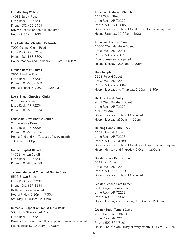#### Love/Healing Waters

14036 Sardis Road Little Rock, AR 72201 Phone: 501-416-5455 Driver's license or photo ID required Hours: 8:00am - 4:30pm

Life Unlimited Christian Fellowship 7001 Colonel Glenn Road Little Rock, AR 72214 Phone: 501-568-3600 Hours: Monday and Thursday, 9:00am - 3:00pm

Lifeline Baptist Church 7601 Baseline Road Little Rock, AR 72209 Phone: 501-565-3469 Hours: Thursday, 9:30am - 10:30am

Lewis Street Church of Christ 2716 Lewis Street Little Rock, AR 72204 Phone: 501-666-2074

#### Lakeshore Drive Baptist Church

21 Lakeshore Drive Little Rock, AR 72204 Phone: 501-565-5536 Hours: 2nd and 4th Tuesday of every month 10:00am - 2:00pm

#### Ironton Baptist Church

14718 Ironton Cutoff Little Rock, AR 72206 Phone: 501-888-2693

#### Jackson Memorial Church of God in Christ

5515 Brown Street Little Rock, AR 72206 Phone: 501-897-1194 Birth certificate required Hours: Friday, 6:30pm - 7:30pm Saturday, 12:00pm - 2:00pm

Immanuel Baptist Church of Little Rock 501 North Shackleford Road Little Rock, AR 72211 Driver's license or photo ID and proof of income required Hours: Tuesday, 10:00am - 2:00pm

#### Immanuel Outreach Church

1123 Welch Street Little Rock, AR 72202 Phone: 501-541-3605 Driver's license or photo ID and proof of income required Hours: Saturday, 11:00am - 1:00pm

#### Immanuel Baptist Church

10500 West Markham Street Little Rock, AR 72211 Phone: 501-376-3071 Proof of residency required Hours: Tuesday 10:00am - 2:00pm

#### Holy Temple

1322 Pulaski Street Little Rock, AR 72202 Phone: 501-375-5804 Hours: Tuesday and Thursday, 6:00pm - 8:30pm

#### His Love Food Pantry

9701 West Markham Street Little Rock, AR 72205 501-376-3071 Driver's license or photo ID required Hours: Tuesday 1:30pm - 4:00pm

#### Helping Hands Little Rock

1601 Marshall Street Little Rock, AR 72216 Phone: 501-372-4388 Driver's license or photo ID and Social Security card required Hours: Monday and Thursday, 9:00am - 1:00pm

#### Greater Grace Baptist Church

8819 Lew Drive Little Rock, AR 72209 Phone: 501-565-3579 Driver's license or photo ID required

#### Greater Second Care Center

5615 Geyer Springs Road Little Rock, AR 72209 Phone: 501-569-9054 Hours: Tuesday and Thursday, 10:00am - 12:00pm

#### Greater South Temple Cogic

2623 South Arch Street Little Rock, AR 72206 Phone: 501-374-7101 Hours: 2nd and 4th Friday of every month, 4:00am - 6:30pm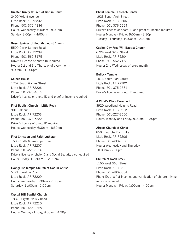#### Greater Trinity Church of God in Christ

2400 Wright Avenue Little Rock, AR 72202 Phone: 501-375-4336 Hours: Wednesday, 6:00pm - 8:00pm Sunday, 3:00pm - 4:00pm

#### Geyer Springs United Methodist Church

5500 Geyer Springs Road Little Rock, AR 72209 Phone: 501-565-3175 Driver's License or photo ID required Hours: 1st and 3rd Thursday of every month 9:00am - 12:00pm

#### Gaines House

1702 South Gaines Street Little Rock, AR 72206 Phone: 501-376-4015 Driver's license or photo ID and proof of income required

#### First Baptist Church – Little Rock

901 Calhoun Little Rock, AR 72203 Phone: 501-374-5882 Driver's license of photo ID required Hours: Wednesday, 6:30pm - 8:30pm

#### First Christian and Faith Lutheran

1500 North Mississippi Street Little Rock, AR 72207 Phone: 501-225-5656 Driver's license or photo ID and Social Security card required Hours: Friday, 10:30am - 12:00pm

#### Evangelist Temple Church of God in Christ

5121 Baseline Road Little Rock, AR 72209 Hours: Wednesday, 5:30am - 7:00pm Saturday, 11:00am - 1:00pm

#### Crystal Hill Baptist Church

18823 Crystal Valley Road Little Rock, AR 72210 Phone: 501-455-0669 Hours: Monday - Friday, 8:00am - 4:30pm

#### Christ Temple Outreach Center 1923 South Arch Street Little Rock, AR 72206 Phone: 501-376-1664 Driver's license or photo ID and proof of income required Hours: Monday - Friday, 9:00am - 3:30pm Tuesday - Thursday, 10:00am - 2:00pm

#### Capitol City Free Will Baptist Church

6724 West 32nd Street Little Rock, AR 72204 Phone: 501-562-7158 Hours: 2nd Wednesday of every month

#### Bullock Temple

1513 South Park Street Little Rock, AR 72202 Phone: 501-375-1581 Driver's license or photo ID required

#### A Child's Place Preschool

3920 Woodland Heights Road Little Rock, AR 72212 Phone: 501-227-3600 Hours: Monday and Friday, 8:00am - 4:30pm

#### Airport Church of Christ

8501 Fourche Dam Pike Little Rock, AR 72206 Phone: 501-490-9800 Hours: Wednesday and Thursday 10:00am - 2:00pm

#### Church at Rock Creek

1150 West 36th Street Little Rock, AR 72211 Phone: 501-490-8684 Photo ID, proof of income, and verification of children living in home required Hours: Monday - Friday, 1:00pm - 4:00pm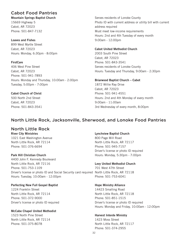## Cabot Food Pantries

Mountain Springs Baptist Church 15669 Highway 5 Cabot, AR 72023 Phone: 501-847-7132

#### Loaves and Fishes

899 West Myrtle Street Cabot, AR 72023 Hours: Monday, 6:30pm - 8:00pm

#### **FirstCare**

406 West Pine Street Cabot, AR 72023 Phone: 501-941-7893 Hours: Monday and Thursday, 10:00am - 2:00pm Tuesday, 5:00pm - 7:00pm

#### Cabot Church of Christ

500 North 2nd Street Cabot, AR 72023 Phone: 501-843-3541

#### Serves residents of Lonoke County Photo ID with current address or utility bill with current address required Must meet low-income requirements Hours: 2nd and 4th Tuesday of every month 9:00am - 12:00pm

#### Cabot United Methodist Church

2003 South Pine Street Cabot, AR 72023 Phone: 501-843-3541 Serves residents of Lonoke County Hours: Tuesday and Thursday, 9:00am - 2:30pm

#### Briarwood Baptist Church – Cabot

1872 Willie Ray Drive Cabot, AR 72023 Phone: 501-941-4551 Hours: 2nd and 4th Monday of every month 9:00am - 11:00am 3rd Wednesday of every month, 8:00pm

## North Little Rock, Jacksonville, Sherwood, and Lonoke Food Pantries

### North Little Rock

River City Ministries 1021 East Washington Avenue North Little Rock, AR 72114 Phone: 501-376-6694

#### Park Hill Christian Church

4400 John F. Kennedy Boulevard North Little Rock, AR 72116 Phone: 501-753-1109 Driver's license or photo ID and Social Security card required Hours: Tuesday, 10:00am - 12:00pm

#### Perfecting New Full Gospel Baptist

1224 Franklin Street North Little Rock, AR 72114 Phone: 501-372-9000 Driver's license or photo ID required

#### McCabe Chapel United Methodist

1523 North Pine Street North Little Rock, AR 72114 Phone: 501-375-8078

#### Lynchview Baptist Church

800 Page Mill Road North Little Rock, AR 72117 Phone: 501-945-7157 Driver's license or photo ID required Hours: Monday, 5:30pm - 7:00pm

#### Levy United Methodist Church

701 West 47th Street North Little Rock, AR 72118 Phone: 501-753-6041

#### Hope Ministry Alliance

14423 Smalling Road North Little Rock, AR 72118 Phone: 501-851-1515 Driver's license or photo ID required Hours: Monday and Friday, 10:00am - 12:00pm

#### Harvest Interde Ministry

1423 Moss Street North Little Rock, AR 72117 Phone: 501-374-2955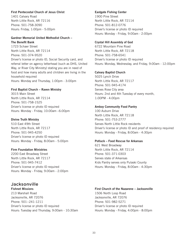#### First Pentecostal Church of Jesus Christ

1401 Calvary Road North Little Rock, AR 72116 Phone: 501-758-3090 Hours: Friday, 1:00pm - 5:00pm

#### Gardner Memorial United Methodist Church – The Benefit Bank

1723 Schaer Street North Little Rock, AR 72114 Phone: 501-374-9520 Driver's license or photo ID, Social Security card, and referral letter on agency letterhead (such as DHS, United Way, or River City Ministry) stating you are in need of food and how many adults and children are living in the household required Hours: Monday and Thursday, 1:00pm - 3:00pm

#### First Baptist Church – Raven Ministry

3015 Main Street North Little Rock, AR 72114 Phone: 501-758-1525 Driver's license or photo ID required Hours: Monday - Friday, 10:00am –6:00pm

#### Divine Truth Ministry

510 East 49th Street North Little Rock, AR 72117 Phone: 501-945-4250 Driver's license or photo ID required Hours: Monday - Friday, 8:00am - 5:00pm

#### Firm Foundation Ministries

2200 East Broadway Street North Little Rock, AR 72117 Phone: 501-945-7412 Driver's license or photo ID required Hours: Monday - Friday, 9:00am - 2:00pm

### Jacksonville

Fishnet Missions 213 Marshall Road Jacksonville, AR 72076 Phone: 501--241-1211 Driver's license or photo ID required Hours: Tuesday and Thursday, 9:00am - 10:30am

#### Eastgate Fishing Center

1900 Pine Street North Little Rock, AR 72114 Phone: 501-812-0776 Driver's license or photo ID required Hours: Monday - Friday, 9:00am - 2:00pm

#### Crystal Hill Assembly of God

6722 Mountain Pine Road North Little Rock, AR 72118 Phone: 501-758-6541 Driver's license or photo ID required Hours: Monday, Wednesday, and Friday, 9:00am - 12:00pm

#### Calvary Baptist Church

5025 Lynch Drive North Little Rock, AR 72117 Phone: 501-945-4174 Serves Rose City area Hours: 2nd and 4th Tuesday of every month, 1:00PM - 4:00pm

#### Amboy Community Food Pantry

100 Auburn Drive North Little Rock, AR 72118 Phone: 501-753-2777 Serves North Little Rock residents Driver's license or photo ID and proof of residency required Hours: Monday - Friday, 8:00am - 4:30pm

#### Potluck – Food Rescue for Arkansas

621 West Broadway North Little Rock, AR 72114 Phone: 501-371-0303 Serves state of Arkansas Kids Pantry serves only Pulaski County Hours: Monday - Friday, 8:00am - 4:30pm

#### First Church of the Nazarene – Jacksonville 1506 North Loop Road Jacksonville, AR 72076 Phone: 501-982-5271 Driver's license or photo ID required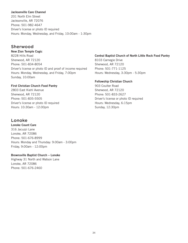#### Jacksonville Care Channel

201 North Elm Street Jacksonville, AR 72076 Phone: 501-982-4647 Driver's license or photo ID required Hours: Monday, Wednesday, and Friday, 10:00am - 1:30pm

### Sherwood

New Zion Temple Cogic 8228 Hills Road Sherwood, AR 72120 Phone: 501-834-8054 Driver's license or photo ID and proof of income required Hours: Monday, Wednesday, and Friday, 7:00pm Sunday, 10:00am

#### First Christian Church Food Pantry

2803 East Kiehl Avenue Sherwood, AR 72120 Phone: 501-835-5505 Driver's license or photo ID required Hours: 10:30am - 12:00pm

### Lonoke

Lonoke Count Care 316 Jacuzzi Lane Lonoke, AR 72086 Phone: 501-676-8999 Hours: Monday and Thursday: 9:00am - 3:00pm Friday, 9:00am - 12:00pm

#### Brownsville Baptist Church – Lonoke

Highway 31 North and Watson Lane Lonoke, AR 72086 Phone: 501-676-2460

#### Central Baptist Church of North Little Rock Food Pantry

8103 Carnegie Drive Sherwood, AR 72120 Phone: 501-771-1125 Hours: Wednesday, 3:30pm - 5:30pm

#### Fellowship Christian Church

903 Coulter Road Sherwood, AR 72120 Phone: 501-833-2627 Driver's license or photo ID required Hours: Wednesday, 6:15pm Sunday, 12:30pm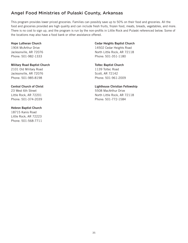## Angel Food Ministries of Pulaski County, Arkansas

This program provides lower priced groceries. Families can possibly save up to 50% on their food and groceries. All the food and groceries provided are high quality and can include fresh fruits, frozen food, meats, breads, vegetables, and more. There is no cost to sign up, and the program is run by the non-profits in Little Rock and Pulaski referenced below. Some of the locations may also have a food bank or other assistance offered.

#### Hope Lutheran Church

1904 McArthur Drive Jacksonville, AR 72076 Phone: 501-982-1333

#### Military Road Baptist Church

2101 Old Military Road Jacksonville, AR 72076 Phone: 501-985-8198

#### Central Church of Christ

23 West 6th Street Little Rock, AR 72201 Phone: 501-374-2039

#### Hebron Baptist Church

18715 Kanis Road Little Rock, AR 72223 Phone: 501-568-7711

#### Cedar Heights Baptist Church

14502 Cedar Heights Road North Little Rock, AR 72118 Phone: 501-351-1180

#### Toltec Baptist Church

1139 Toltec Road Scott, AR 72142 Phone: 501-961-2009

#### Lighthouse Christian Fellowship

5508 MacArthur Drive North Little Rock, AR 72118 Phone: 501-772-1584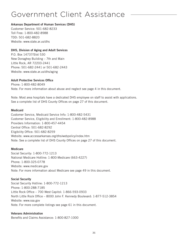## Government Client Assistance

#### Arkansas Department of Human Services (DHS)

Customer Service: 501-682-8233 Toll Free: 1-800-482-8988 TDD: 501-682-8820 Website: www.state.ar.us/dhs

#### DHS, Division of Aging and Adult Services

P.O. Box 14737/Slot 530 New Donaghey Building – 7th and Main Little Rock, AR 72203-2441 Phone: 501-682-2441 or 501-682-2443 Website: www.state.ar.us/dhs/aging

#### Adult Protective Services Office

Phone: 1-800-482-8049 Note: For more information about abuse and neglect see page 4 in this document.

Note: Most area hospitals have a dedicated DHS employee on staff to assist with applications. See a complete list of DHS County Offices on page 27 of this document.

#### Medicaid

Customer Service, Medicaid Service Info: 1-800-482-5431 Customer Service, Eligibility and Enrollment: 1-800-482-8988 Providers Information: 1-800-457-4454 Central Office: 501-682-8292 Eligibility Office: 501-682-8259 Website: www.accessarkansas.org/dhs/webpolicy/index.htm Note: See a complete list of DHS County Offices on page 27 of this document.

#### **Medicare**

Social Security: 1-800-772-1213 National Medicare Hotline: 1-800-Medicare (663-4227) Phone: 1-800-325-0778 Website: www.medicare.gov Note: For more information about Medicare see page 49 in this document.

#### Social Security

Social Security Hotline: 1-800-772-1213 Phone: 1-800-288-7185 Little Rock Office – 700 West Capitol: 1-866-593-0933 North Little Rock Office – 8000 John F. Kennedy Boulevard: 1-877-512-3854 Website: www.ssa.gov Note: For more complete listings see page 61 in this document.

#### Veterans Administration

Benefits and Claims Assistance: 1-800-827-1000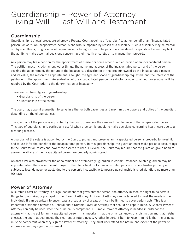## Guardianship – Power of Attorney Living Will – Last Will and Testament

### Guardianship

Guardianship is a legal procedure whereby a Probate Court appoints a "guardian" to act on behalf of an "incapacitated person" or ward. An incapacitated person is one who is impaired by reason of a disability. Such a disability may be mental or physical illness, drug or alcohol dependence, or being a minor. The person is considered incapacitated when they lack the ability to make essential decisions concerning their health or safety, or to manage their property.

Any person may file a petition for the appointment of himself or some other qualified person of an incapacitated person. The petition must include, among other things, the name and address of the incapacitated person and of the person seeking the appointment, the nature of the incapacity, a description of the property owned by the incapacitated person and its value, the reason the appointment is sought, the type and scope of guardianship requested, and the interest of the petitioner in the appointment. An evaluation of the incapacitated person by a doctor or other qualified professional will be required by the Court prior to the determination of incapacity.

There are two basic types of guardianship:

- Guardianship of the person
- Guardianship of the estate

The court may appoint a guardian to serve in either or both capacities and may limit the powers and duties of the guardian, depending on the circumstances.

The guardian of the person is appointed by the Court to oversee the care and maintenance of the incapacitated person. This type of guardianship is particularly useful when a person is unable to make decisions concerning health care due to a disabling disease.

A guardian of the estate is appointed by the Court to protect and preserve an incapacitated person's property, to invest it, and to use it for the benefit of the incapacitated person. In this guardianship, the guardian must make periodic accountings to the Court for all assets and how these assets are used. Likewise, the Court may require that the guardian give a bond to assure the affairs of the incapacitated person are properly administered.

Arkansas law also provides for the appointment of a "temporary" guardian in certain instances. Such a guardian may be appointed when there is imminent danger to the life or health of an incapacitated person or where his/her property is subject to loss, damage, or waste due to the person's incapacity. A temporary guardianship is short duration, no more than 90 days.

### Power of Attorney

A Durable Power of Attorney is a legal document that gives another person, the attorney-in-fact, the right to do certain things for the maker, or principal of the Power of Attorney. A Power of Attorney can be tailored to meet the needs of the individual. It can be written to encompass a broad array of areas, or it can be limited to cover certain acts. This is an important distinction between a General and a Durable Power of Attorney that should be kept in mind. A General Power of Attorney can only be used when the principal is competent. A Durable Power of Attorney is needed in order for the attorney-in-fact to act for an incapacitated person. It is important that the principal knows this distinction and that he/she chooses the one that best meets their current or future needs. Another important item to keep in mind is that the principal must be competent when they sign the Power of Attorney. They must understand the nature and extent of the power of attorney when they sign the document.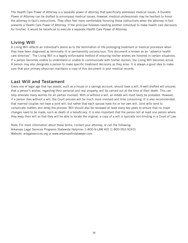The Health Care Power of Attorney is a separate power of attorney that specifically addresses medical issues. A Durable Power of Attorney can be drafted to encompass medical issues; however, medical professionals may be hesitant to honor the attorney-in-fact's instructions. They often feel more comfortable honoring those instructions when the attorney-in-fact presents a Health Care Power of Attorney. If the principal foresees needing another individual to make health care decisions for him/her, it would be beneficial to execute a separate Health Care Power of Attorney.

## Living Will

A Living Will reflects an individual's desire as to the termination of life-prolonging treatment or medical procedure when they have been diagnosed as terminally ill or permanently unconscious. This document is known as an "advance health care directive". The Living Will is a legally enforceable method of ensuring his/her wishes are honored in certain situations. If a person becomes unable to understand or unable to communicate with his/her doctors, the Living Will becomes active. A person may also designate a person to make specific treatment decisions as they arise. It is always a good idea to make sure that your primary physician maintains a copy of this document in your medical records.

## Last Will and Testament

Every one of legal age that has assets, such as a house or a savings account, should have a will. A well-drafted will ensures that a person's wishes, regarding their personal and real property, will be carried out at the time of their death. This can help alleviate many worries for all parties involved. With or without a will, an estate will most likely be probated. However, if a person dies without a will, the Court process will be much more involved and time consuming. It is also recommended that married couples not have a joint will, but rather that each spouse have his or her own will. Joint wills tend to complicate matters and delay the process. Will should also be reviewed at least every two years to ensure that no major changes need to be made, such as death of a beneficiary. It is also important that the person tell at least one person where they keep their will so that they will be able to locate the original: a copy of a will is typically non-binding in a Court of Law.

Note: For more information about these terms, contact your attorney, or call the following: Arkansas Legal Services Programs Statewide Helpline: 1-800-9-LAW AID (1-800-952-9243) Website: arlegalservices.org or www.arkansasfindalawyer.com.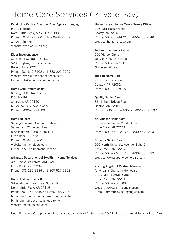## Home Care Services (Private Pay)

#### CareLink – Central Arkansas Area Agency on Aging

P.O. Box 5988 North Little Rock, AR 72119-5988 Phone: 501-372-5300 or 1-800-482-6359 2 hour minimum Website: www.care-link.org

#### Elder Independence

Serving all Central Arkansas 5200 Highway 5 North, Suite 1 Bryant, AR 72022 Phone: 501-847-6102 or 1-888-201-2959 Website: www.elderindependence.com E-mail: info@elderindependence.com

#### Home Care Professionals

Serving all Central Arkansas P.O. Box 96 Sheridan, AR 72150 6 - 24 hours, 7 days a week Phone: 1-800-780-4009

#### Home Helpers

Serving Faulkner, Garland, Pulaski, Saline, and White counties 8 Shackleford Plaza, Suite 101 Little Rock, AR 72211 Phone: 501-663-3900 Website: homehelpers.com E-mail: s.sellers@homehelpers.cc

#### Arkansas Department of Health in-Home Services

3915 West 8th Street, 3rd Floor Little Rock, AR 72204 Phone: 501-280-3386 or 1-800-527-5302

#### Home Instead Senior Care

3809 McCain Park Drive, Suite 100 North Little Rock, AR 72116 Phone: 501-758-7340 or 1-866-758-7340 Minimum 4 hours per day, maximum one day; Minimum number of days requirement Website: homeinstead.com

#### Home Instead Senior Care – Searcy Office

305 East Race Avenue Searcy, AR 72143 Phone: 501-305-4472 or 1-866-758-7340 Website: homeinstead.com

#### Jacksonville Senior Center

100 Victory Circle Jacksonville, AR 72076 Phone: 501-982-7531 No personal care

#### Julia In-Home Care

23 Timber Lane Trail Conway, AR 72032 Phone: 501-327-5045

Quality Senior Care 8641 Steel Bridge Road Benton, AR 72015 Phone: 1-866-531-0695 or 1-866-653-9337

#### St. Vincent Home Care 1 Executive Center Court, Suite 110 Little Rock, AR 72211 Phone: 501-664-2313 or 1-800-467-2313

Superior Senior Care 900 North University Avenue, Suite 5 Little Rock, AR 72207 Phone: 501-224-7117 or 1-800-338-5892 Website: www.superiorseniorcare.com

#### Visiting Angels of Central Arkansas

American's Choice in Homecare 1429 Merrill Drive, Suite 4 Little Rock, AR 72211 Phone: 501-225-5100 Website: www.visitingangels.com E-mail: mmartin@visitingangles.com

Note: For Home Care providers in your area, call your AAA. See pages 10-11 of this document for your local AAA.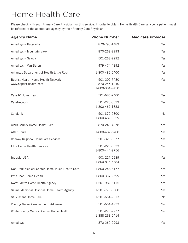## Home Health Care

Please check with your Primary Care Physician for this service. In order to obtain Home Health Care service, a patient must be referred to the appropriate agency by their Primary Care Physician.

| <b>Agency Name</b>                                           | <b>Phone Number</b>                            | <b>Medicare Provider</b> |
|--------------------------------------------------------------|------------------------------------------------|--------------------------|
| Amedisys - Batesville                                        | 870-793-1483                                   | Yes                      |
| Amedisys - Mountain View                                     | 870-269-2993                                   | Yes                      |
| Amedisys - Searcy                                            | 501-268-2292                                   | Yes                      |
| Amedisys - Van Buren                                         | 479-474-4892                                   | Yes                      |
| Arkansas Department of Health-Little Rock                    | 1-800-482-5400                                 | Yes                      |
| Baptist Health Home Health Network<br>www.baptist-health.com | 501-202-7480<br>870-245-1040<br>1-800-304-9450 | Yes                      |
| Care IV Home Health                                          | 501-686-2400                                   | Yes                      |
| CareNetwork                                                  | 501-223-3333<br>1-800-467-1333                 | Yes                      |
| CareLink                                                     | 501-372-5300<br>1-800-482-6359                 | No                       |
| Clark County Home Health Care                                | 870-246-4078                                   | Yes                      |
| After Hours                                                  | 1-800-482-5400                                 | Yes                      |
| Conway Regional HomeCare Services                            | 501-329-9377                                   | Yes                      |
| Elite Home Health Services                                   | 501-223-3333<br>1-800-444-9756                 | Yes                      |
| Intrepid USA                                                 | 501-227-0689<br>1-800-815-5684                 | Yes                      |
| Nat. Park Medical Center Home Touch Health Care              | 1-800-248-6177                                 | Yes                      |
| Petit Jean Home Health                                       | 1-800-337-2599                                 | Yes                      |
| North Metro Home Health Agency                               | 1-501-982-6115                                 | Yes                      |
| Saline Memorial Hospital Home Health Agency                  | 1-501-776-6600                                 | Yes                      |
| St. Vincent Home Care                                        | 1-501-664-2313                                 | No                       |
| Visiting Nurse Association of Arkansas                       | 501-664-4933                                   | Yes                      |
| White County Medical Center Home Health                      | 501-279-2777<br>1-888-268-0414                 | Yes                      |
| Amedisys                                                     | 870-269-2993                                   | Yes                      |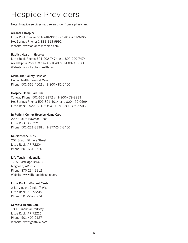## Hospice Providers

Note: Hospice services require an order from a physician.

#### Arkansas Hospice

Little Rock Phone: 501-748-3333 or 1-877-257-3400 Hot Springs Phone: 1-888-813-9992 Website: www.arkansashospice.com

#### Baptist Health – Hospice

Little Rock Phone: 501-202-7474 or 1-800-900-7474 Arkadelphia Phone: 870-245-1040 or 1-800-999-9801 Website: www.baptist-health.com

#### Clebourne County Hospice

Home Health Personal Care Phone: 501-362-4602 or 1-800-482-5400

#### Hospice Home Care, Inc.

Conway Phone: 501-336-9172 or 1-800-479-8233 Hot Springs Phone: 501-321-4014 or 1-800-479-0599 Little Rock Phone: 501-558-4100 or 1-800-479-2503

#### In-Patient Center Hospice Home Care

2200 South Bowman Road Little Rock, AR 72211 Phone: 501-221-3338 or 1-877-247-3400

#### Kaleidoscope Kids

202 South Fillmore Street Little Rock, AR 72204 Phone: 501-661-0720

#### Life Touch – Magnolia

1707 Eastridge Drive B Magnolia, AR 71753 Phone: 870-234-9112 Website: www.lifetouchhospice.org

#### Little Rock In-Patient Center

2 St. Vincent Circle, 7 West Little Rock, AR 72205 Phone: 501-552-6274

#### Gentivia Health Care

1800 Financial Parkway Little Rock, AR 72211 Phone: 501-407-9127 Website: www.gentivia.com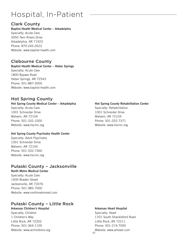## Hospital, In-Patient

## Clark County

#### Baptist Health Medical Center – Arkadelphia Specialty: Acute Care 3050 Twin Rivers Drive Arkadelphia, AR 71923 Phone: 870-245-2622 Website: www.baptist-health.com

## Clebourne County

#### Baptist Health Medical Center – Heber Springs

Specialty: Acute Care 1800 Bypass Road Heber Springs, AR 72543 Phone: 501-887-3000 Website: www.baptist-health.com

## Hot Spring County

#### Hot Spring County Medical Center – Arkadelphia Specialty: Acute Care

1001 Schneider Drive Malvern, AR 72104 Phone: 501-332-1000 Website: www.hscmc.org

#### Hot Spring County Psychiatry Health Center

Specialty: Adult Psychiatry 1001 Schneider Drive Malvern, AR 72104 Phone: 501-332-7360 Website: www.hscmc.org

## Pulaski County – Jacksonville

North Metro Medical Center Specialty: Acute Care 1400 Braden Street Jacksonville, AR 72076 Phone: 501-985-7000 Website: www.northmetromed.com

## Pulaski County – Little Rock

#### Arkansas Children's Hospital

Specialty: Children 1 Children's Way Little Rock, AR 72202 Phone: 501-364-1100 Website: www.archildrens.org

#### Hot Spring County Rehabilitation Center

Specialty: Rehabilitation 1001 Schneider Drive Malvern, AR 72104 Phone: 501-332-7371 Website: www.hscmc.org

#### Arkansas Heart Hospital

Specialty: Heart 1701 South Shackleford Road Little Rock, AR 72211 Phone: 501-219-7000 Website: www.arheart.com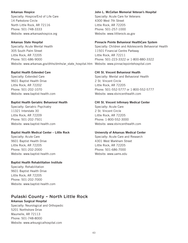#### Arkansas Hospice

Specialty: Hospice/End of Life Care 14 Parkstone Circle North Little Rock, AR 72116 Phone: 501-748-3333 Website: www.arkansashospice.org

#### Arkansas State Hospital

Specialty: Acute Mental Health 305 South Palm Street Little Rock, AR 72205 Phone: 501-686-9000 Website: www.arkansas.gov/dhhs/dmhs/ar\_state\_hospital.htm Website: www.pinnaclepointehospital.com

#### Baptist Health Extended Care

Specialty: Extended Care 9601 Baptist Health Drive Little Rock, AR 72202 Phone: 501-202-1070 Website: www.baptist-health.com

#### Baptist Health Geriatric Behavioral Health

Specialty: Geriatric Psychiatry 11321 Interstate 30 Little Rock, AR 72209 Phone: 501-202-7501 Website: www.baptist-health.com

#### Baptist Health Medical Center – Little Rock

Specialty: Acute Care 9601 Baptist Health Drive Little Rock, AR 72205 Phone: 501-202-2000 Website: www.baptist-health.com

#### Baptist Health Rehabilitation Institute

Specialty: Rehabilitation 9601 Baptist Health Drive Little Rock, AR 72205 Phone: 501-202-7000 Website: www.baptist-health.com

## Pulaski County – North Little Rock

Arkansas Surgical Hospital Specialty: Neurological and Orthopedic 5201 Northshore Drive Maumelle, AR 72113 Phone: 501-748-8000 Website: www.arksurgicalhospital.com

#### John L. McCellan Memorial Veteran's Hospital

Specialty: Acute Care for Veterans 4300 West 7th Street Little Rock, AR 72205 Phone: 501-257-1000 Website: www.littlerock.va.gov

#### Pinnacle Pointe Behavioral HealthCare System

Specialty: Children and Adolescents Behavorial Health 11501 Financial Centre Parkway Little Rock, AR 72211 Phone: 501-223-3322 or 1-800-880-3322

#### CHI St. Vincent Behavioral Health

Specialty: Mental and Behavioral Health 2 St. Vincent Circle Little Rock, AR 72205 Phone: 501-552-5777 or 1-800-552-5777 Website: www.stvincenthealth.com

#### CHI St. Vincent Infirmary Medical Center

Specialty: Acute Care 2 St. Vincent Circle Little Rock, AR 72205 Phone: 1-800-552-3000 Website: www.stvincenthealth.com

#### University of Arkansas Medical Center

Specialty: Acute Care and Research 4301 West Markham Street Little Rock, AR 72205 Phone: 501-686-7000 Website: www.uams.edu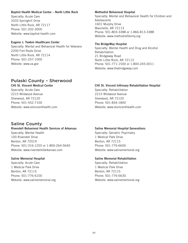#### Baptist Health Medical Center – North Little Rock

Specialty: Acute Care 3333 Springhill Drive North Little Rock, AR 72117 Phone: 501-202-3000 Website: www.baptist-health.com

#### Eugene J. Towbin Healthcare Center

Specialty: Mental and Behavioral Health for Veterans 2200 Fort Roots Drive North Little Rock, AR 72114 Phone: 501-257-1000 Website: www.va.gov

## Pulaski County – Sherwood

CHI St. Vincent Medical Center Specialty: Acute Care 2215 Wildwood Avenue Sherwood, AR 72120 Phone: 501-552-7100 Website: www.stvincenthealth.com

### Saline County

#### Rivendell Behavioral Health Services of Arkansas

Specialty: Mental Health 100 Rivendell Drive Benton, AR 72019 Phone: 501-316-1255 or 1-800-264-5640 Website: www.rivendellofarkansas.com

#### Saline Memorial Hospital

Specialty: Acute Care 1 Medical Park Drive Benton, AR 72115 Phone: 501-776-6100 Website: www.salinememorial.org

#### Methodist Behavioral Hospital

Specialty: Mental and Behavioral Health for Children and Adolescents 1601 Murphy Drive Maumelle, AR 72113 Phone: 501-803-3388 or 1-866-813-3388 Website: www.methodistfamily.org

#### The BridgeWay Hospital

Specialty: Mental Health and Drug and Alcohol Rehabilitation 21 Bridgeway Road North Little Rock, AR 72113 Phone: 501-771-1500 or 1-800-245-0011 Website: www.thebridgeway.com

#### CHI St. Vincent Infirmary Rehabilitation Hospital

Specialty: Rehabilitation 2215 Wildwood Avenue Sherwood, AR 72120 Phone: 501-834-1800 Website: www.stvincenthealth.com

#### Saline Memorial Hospital Generations

Specialty: Geriatric Psychiatry 1 Medical Park Drive Benton, AR 72115 Phone: 501-776-6600 Website: www.salinememorial.org

#### Saline Memorial Rehabilitation

Specialty: Rehabilitation 1 Medical Park Drive Benton, AR 72115 Phone: 501-776-6630 Website: www.salinememorial.org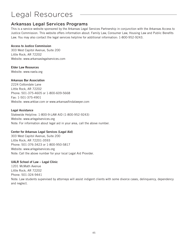## Legal Resources

## Arkansas Legal Services Programs

This is a service website sponsored by the Arkansas Legal Services Partnership in conjunction with the Arkansas Access to Justice Commission. This website offers information about: Family Law, Consumer Law, Housing Law and Public Benefits Law. You may also contact the legal services helpline for additional information: 1-800-952-9243.

#### Access to Justice Commission

303 West Capitol Avenue, Suite 200 Little Rock, AR 72202 Website: www.arkansaslegalservices.com

#### Elder Law Resources

Website: www.naela.org

#### Arkansas Bar Association

2224 Cottondale Lane Little Rock, AR 72202 Phone: 501-375-4605 or 1-800-609-5668 Fax: 1-501-375-4901 Website: www.arkbar.com or www.arkansasfindalawyer.com

#### Legal Assistance

Statewide Helpline: 1-800-9-LAW AID (1-800-952-9243) Website: www.arlegalservices.org Note: For information about legal aid in your area, call the above number.

#### Center for Arkansas Legal Services (Legal Aid)

303 West Capitol Avenue, Suite 200 Little Rock, AR 72201-3593 Phone: 501-376-3423 or 1-800-950-5817 Website: www.arlegalservices.org Note: Call the above number for your local Legal Aid Provider.

#### UALR School of Law – Legal Clinic

1201 McMath Avenue Little Rock, AR 72202 Phone: 501-324-9441 Note: Law students supervised by attorneys will assist indigent clients with some divorce cases, delinquency, dependency and neglect.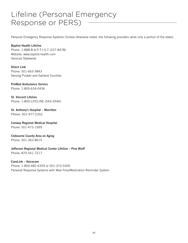## Lifeline (Personal Emergency Response or PERS)

Personal Emergency Response Systems (Unless otherwise noted, the following providers serve only a portion of the state):

#### Baptist Health Lifeline

Phone: 1-888-B-A-P-T-I-S-T (227-8478) Website: www.baptist-health.com Services Statewide

Direct Link Phone: 501-663-3843 Serving Pulaski and Garland Counties

#### ProMed Ambulance Service

Phone: 1-800-634-0436

St. Vincent Lifeline Phone: 1-800-LIFELINE (543-3546)

St. Anthony's Hospital – Morrilton PHone: 501-977-2352

Conway Regional Medical Hospital Phone: 501-473-1999

Clebourne County Area on Aging Phone: 501-362-8615

Jefferson Regional Medical Center Lifeline – Pine Bluff

Phone: 870-541-7217

CareLink – Voicecare Phone: 1-800-482-6359 or 501-372-5300 Personal Response Systems with Med-Time/Medication Reminder System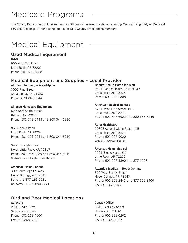## Medicaid Programs

The County Department of Human Services Offices will answer questions regarding Medicaid eligibility or Medicaid services. See page 27 for a complete list of DHS County office phone numbers.

## Medical Equipment

## Used Medical Equipment

ICAN

900 West 7th Street Little Rock, AR 72201 Phone: 501-666-8868

## Medical Equipment and Supplies – Local Provider

All Care Pharmacy – Arkadelphia 3002 Pine Street Arkadelphia, AR 71923 Phone: 870-246-3044

Alliance Homecare Equipment 620 West South Street Benton, AR 72015 Phone: 501-778-0448 or 1-800-344-6910

8612 Kanis Road Little Rock, AR 72204 Phone: 501-221-2244 or 1-800-344-6910

3401 Springhill Road North Little Rock, AR 72117 Phone: 501-945-3289 or 1-800-344-6910 Website: www.baptist-health.com

#### American Home Patient

309 Southridge Parkway Heber Springs, AR 72543 Patient: 1-877-299-2021 Corporate: 1-800-890-7271

## Bird and Bear Medical Locations

#### **AeroCare**

2101 Ondra Drive Searcy, AR 72143 Phone: 501-268-4500 Fax: 501-268-8902

Baptist Health Home Infusion 9601 Baptist Health Drive, #109 Little Rock, AR 72205 Phone: 501-202-1388

### American Medical Rentals

6701 West 12th Street, #14 Little Rock, AR 72204 Phone: 501-376-6922 or 1-800-388-7246

#### Apria Healthcare

10303 Colonel Glenn Road, #1B Little Rock, AR 72204 Phone: 501-227-9020 Website: www.apria.com

#### Arkansas Home Medical

2201 Brookewood, #11 Little Rock, AR 72202 Phone: 501-227-4390 or 1-877-2298

#### Attention Medical – Heber Springs

329 West Searcy Street Heber Springs, AR 72543 Phone: 501-362-2441 or 1-877-362-2400 Fax: 501-362-5485

#### Conway Office

1810 East Oak Street Conway, AR 72032 Phone: 501-328-0202 Fax: 501-328-5027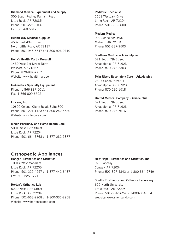#### Diamond Medical Equipment and Supply

300 South Rodney Parham Road Little Rock, AR 72035 Phone: 501-225-3106 Fax: 501-687-0175

Health-Way Medical Supplies 4507 East 43rd Street North Little Rock, AR 72117 Phone: 501-945-5747 or 1-800-926-0710

Holly's Health Mart – Prescott 1430 West 1st Street North Prescott, AR 71857 Phone: 870-887-2717 Website: www.healthmart.com

Isokenetics Specialty Equipment Phone: 1-866-887-6011 Fax: 1-866-809-6502

Lincare, Inc. 10600 Colonel Glenn Road, Suite 300 Phone: 501-221-1123 or 1-800-242-5580 Website: www.lincare.com

Medic Pharmacy and Home Health Care 5001 West 12th Street Little Rock, AR 72204 Phone: 501-664-6768 or 1-877-232-5877

### Orthopedic Appliances

Hanger Prosthetics and Orthotics 10014 West Markham Little Rock, AR 72205 Phone: 501-225-4557 or 1-877-442-6437 Fax: 501-225-1771

#### Horton's Orthotics Lab

5220 West 12th Street Little Rock, AR 72204 Phone: 501-663-2908 or 1-800-331-2908 Website: www.hortonsoandp.com

Pediatric Specialist 1601 Westpark Drive Little Rock, AR 72204 Phone: 501-663-3600

Modern Medical 999 Schneider Drive Malvern, AR 72104 Phone: 501-337-9503

Southern Medical – Arkadelphia 521 South 7th Street Arkadelphia, AR 71923 Phone: 870-246-5303

Twin Rivers Respiratory Care – Arkadelphia 2607 Caddo Street, #E Arkadelphia, AR 71923 Phone: 870-230-1518

United Medical Company - Arkadelphia 521 South 7th Street Arkadelphia, AR 71923 Phone: 870-246-7616

New Hope Prosthetics and Orthotics, Inc. 923 Parkway Conway, AR 72034 Phone: 501-327-4342 or 1-800-364-2749

Snell's Prosthetics and Orthotics Laboratory

625 North University Little Rock, AR 72205 Phone: 501-664-2624 or 1-800-364-5541 Website: www.snellpando.com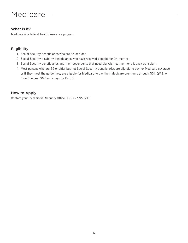## Medicare

### What is it?

Medicare is a federal health insurance program.

### Eligibility

- 1. Social Security beneficiaries who are 65 or older.
- 2. Social Security disability beneficiaries who have received benefits for 24 months.
- 3. Social Security beneficiaries and their dependents that need dialysis treatment or a kidney transplant.
- 4. Most persons who are 65 or older but not Social Security beneficiaries are eligible to pay for Medicare coverage or if they meet the guidelines, are eligible for Medicaid to pay their Medicare premiums through SSI, QMB, or ElderChoices. SMB only pays for Part B.

### How to Apply

Contact your local Social Security Office: 1-800-772-1213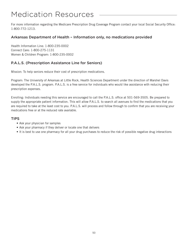## Medication Resources

For more information regarding the Medicare Prescription Drug Coverage Program contact your local Social Security Office: 1-800-772-1213.

### Arkansas Department of Health – Information only, no medications provided

Health Information Line: 1-800-235-0002 Connect Care: 1-800-275-1131 Women & Children Program: 1-800-235-0002

### P.A.L.S. (Prescription Assistance Line for Seniors)

Mission: To help seniors reduce their cost of prescription medications.

Program: The University of Arkansas at Little Rock, Health Sciences Department under the direction of Marshel Davis developed the P.A.L.S. program. P.A.L.S. is a free service for individuals who would like assistance with reducing their prescription expenses.

Enrolling: Individuals needing this service are encouraged to call the P.A.L.S. office at 501-569-3505. Be prepared to supply the appropriate patient information. This will allow P.A.L.S. to search all avenues to find the medications that you are required to take at the least cost to you. P.A.L.S. will process and follow through to confirm that you are receiving your medications free or at the reduced rate available.

#### TIPS

- Ask your physician for samples
- Ask your pharmacy if they deliver or locate one that delivers
- It is best to use one pharmacy for all your drug purchases to reduce the risk of possible negative drug interactions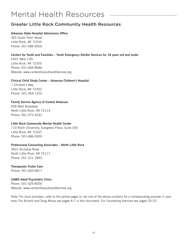## Mental Health Resources

## Greater Little Rock Community Health Resources

#### Arkansas State Hospital Admissions Office

305 South Palm Street Little Rock, AR 72205 Phone: 501-686-9000

#### Centers for Youth and Famililes – Youth Emergency Shelter Services for 18 years old and under

6501 West 12th Little Rock, AR 72205 Phone: 501-666-8686 Website: www.centersforyouthandfamilies.org

#### Clinical Child Study Center – Arkansas Children's Hospital

1 Children's Way Little Rock, AR 72202 Phone: 501-364-1202

#### Family Service Agency of Central Arkansas

628 West Broadway North Little Rock, AR 72114 Phone: 501-372-4242

#### Little Rock Community Mental Health Center

110 North University, Evergreen Place, Suite 200 Little Rock, AR 72207 Phone: 501-686-9300

#### Professional Counseling Associates – North Little Rock

3601 Richards Road North Little Rock, AR 72117 Phone: 501-221-1843

#### Therapeutic Foster Care

Phone: 501-660-6817

#### UAMS Adult Psychiatric Clinic

Phone: 501-526-8200 Website: www.centersforyouthandfamilies.org

Note: For local providers, refer to the yellow pages or call one of the above numbers for a corresponding provider in your area. For Alcohol and Drug Abuse see pages 6-7 in this document. For Counseling Services see pages 20-23.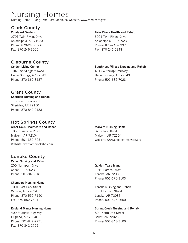## Nursing Homes

Nursing Home – Long Term Care Medicine Website: www.medicare.gov

## Clark County

Courtyard Gardens 2701 Twin Rivers Drive Arkadelphia, AR 71923 Phone: 870-246-5566 Fax: 870-245-3005

### Cleburne County

Golden Living Center 1040 Weddingford Road Heber Springs, AR 72543 Phone: 870-362-8137

### Grant County

Sheridan Nursing and Rehab 113 South Briarwood Sheridan, AR 72150 Phone: 870-842-2183

## Hot Springs County

#### Arbor Oaks Healthcare and Rehab

105 Russelville Road Malvern, AR 72104 Phone: 501-332-5251 Website: www.arboroakshc.com

## Lonoke County

Cabot Nursing and Rehab 200 Northport Drive Cabot, AR 72023 Phone: 501-843-6181

#### Chambers Nursing Home

1001 East Park Street Carlisle, AR 72024 Phone: 870-552-7150 Fax: 870-552-7601

England Manor Nursing Home 400 Stuttgart Highway England, AR 72046 Phone: 501-842-2771 Fax: 870-842-2709

#### Twin Rivers Health and Rehab

3021 Twin Rivers Drive Arkadelphia, AR 71923 Phone: 870-246-6337 Fax: 870-246-6348

#### Southridge Village Nursing and Rehab

401 Southridge Parkway Heber Springs, AR 72543 Phone: 501-632-7023

#### Malvern Nursing Home

829 Cloud Road Malvern, AR 72104 Website: www.encoreatmalvern.org

### Golden Years Manor

1010 Barnes Street Lonoke, AR 72086 Phone: 501-676-3103

#### Lonoke Nursing and Rehab 1501 Lincoln Street

Lonoke, AR 72086 Phone: 501-676-2600

#### Spring Creek Nursing and Rehab 804 North 2nd Street

Cabot, AR 72023 Phone: 501-843-3100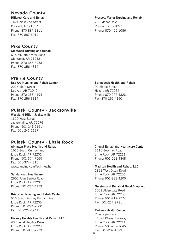### Nevada County

Hillcrest Care and Rehab 1421 West 2nd Street Prescott, AR 71857 Phone: 870-887-3811 Fax: 870-887-6019

### Pike County

Glenwood Nursing and Rehab 615 Mountain View Road Glenwood, AR 71943 Phone: 870-356-3953 Fax: 870-356-4314

### Prairie County

Des Arc Nursing and Rehab Center 2216 Main Street Des Arc, AR 72040 Phone: 870-256-4194 Fax: 870-256-3314

### Pulaski County - Jacksonville

Woodland Hills – Jacksonville 1320 West Barden Jacksonville, AR 72076 Phone: 501-241-2191 Fax: 501-241-2197

## Pulaski County - Little Rock

Abington Place Health and Rehab 1516 South Cumberland Little Rock, AR 72202 Phone: 501-374-7565 Fax: 501-374-4316 www.cancinc.com/facilities.htm

#### Sundalwood Healthcare

2600 John Barrow Road Little Rock, AR 72204 Phone: 501-224-4173

#### Briarwood Nursing and Rehab Center

516 South Rodney Parham Road Little Rock, AR 72205 Phone: 501-224-9000 Fax: 501-224-3941

#### Hickory Heights Health and Rehab, LLC

#3 Chenal Heights Drive Little Rock, AR 72223 Phone: 501-830-2273

#### Prescott Manor Nursing and Rehab

700 Manor Drive Prescott, AR 71857 Phone: 870-455-1086

### Springbook Health and Rehab

92 Maple Street Hazen, AR 72064 Phone: 870-255-4323 Fax: 870-255-4190

Chenal Rehab and Healthcare Center 3115 Bowman Road Little Rock, AR 72211 Phone: 501-228-4848

#### Madison Health and Rehab, LLC

2821 West Dixon Road Little Rock, AR 72206 Phone: 501-888-4200

#### Nursing and Rehab at Good Shepherd

3001 Aldersgate Road Little Rock, AR 72205 Phone: 501-217-9774 Fax: 501-217-9781

#### Parkway Health Center

53 Fax: 501-202-1693Private pay only 14321 Chenal Parkway Little Rock, AR 72211 Phone: 501-202-1645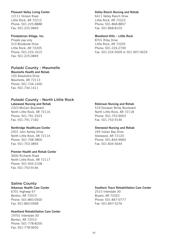#### Pleasant Valley Living Center

12111 Hinson Road Little Rock, AR 72212 Phone: 501-225-8888 Fax: 501-225-0849

#### Presbyterian Village, Inc.

Private pay only 510 Brookside Drive Little Rock, AR 72205 Phone: 501-225-1615 Fax: 501-225-0849

#### Pulaski County - Maumelle

Maumelle Health and Rehab 103 Alexandria Drive Maumelle, AR 72113 Phone: 501-734-1400 Fax: 501-734-1411

#### Pulaski County - North Little Rock

Lakewood Nursing and Rehab 2323 McCain Boulevard North Little Rock, AR 72116 Phone: 501-791-2323

#### Northridge Healthcare Center

Fax: 501-791-7160

2501 John Ashley Drive North Little Rock, AR 72114 Phone: 501-758-3800 Fax: 501-753-3893

#### Premier Health and Rehab Center

3600 Richards Road North Little Rock, AR 72117 Phone: 501-955-2108 Fax: 501-753-9146

#### Saline County

#### Arkansas Health Care Center

6701 Highway 67 Benton, AR 72015 Phone: 501-860-0500 Fax: 501-860-0568

#### Heartland Rehabilitation Care Center

19701 Interstate 30 Benton, AR 72015 Phone: 501-778-8200 Fax: 501-778-9650

#### Valley Ranch Nursing and Rehab

6411 Valley Ranch Drive Little Rock, AR 72223 Phone: 501-868-8857 Fax: 501-868-8103

#### Woodland Hills – Little Rock

8701 Riley Drive Little Rock, AR 72205 Phone: 501-224-2700 Fax: 501-224-5009 or 501-907-0629

#### Robinson Nursing and Rehab

519 Donavan Briley Boulevard North Little Rock, AR 72118 Phone: 501-753-9003 Fax: 501-753-9146

#### Sherwood Nursing and Rehab

245 Indian Bay Drive Sherwood, AR 72120 Phone: 501-834-9960 Fax: 501-834-5644

#### Southern Trace Rehabilitation Care Center

2515 Interstate 30 Bryant, AR 72022 Phone: 501-847-0777 Fax: 501-847-5276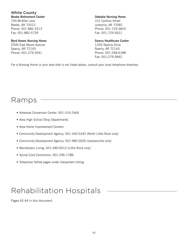White County Beebe Retirement Center 709 McAfee Lane Beebe, AR 72012 Phone: 501-882-3313 Fax: 501-882-5739

#### Byrd Haven Nursing Home

2500 East Moore Avenue Searcy, AR 72143 Phone: 501-279-3041

Oakdale Nursing Home 101 Cynthia Street Judsonia, AR 72081 Phone: 501-729-3823 Fax: 501-729-3621

#### Searcy Healthcare Center

1205 Skyline Drive Searcy, AR 72143 Phone: 501-268-6188 Fax: 501-279-3842

For a Nursing Home in your area that is not listed above, consult your local telephone directory.

## Ramps

- Arkansas Conversion Center: 501-316-2466
- Area High School Shop Departments
- Area Home Improvement Centers
- Community Development Agency: 501-340-5342 (North Little Rock only)
- Community Development Agency: 501-982-0026 (Jacksonville only)
- Mainstream Living: 501-280-0012 (Little Rock only)
- Spinal Cord Commision: 501-296-1788
- Telephone Yellow pages under Carpenters listing

## Rehabilitation Hospitals

Pages 42-44 in this document.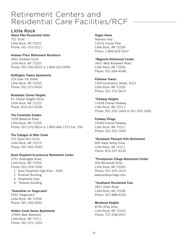## Retirement Centers and Residential Care Facilities/RCF

### Little Rock

Albert Pike Residential Hotel 701 Scott Little Rock, AR 72201 Phone: 501-372-5211

#### Andover Place Retirement Residence

2601 Andover Court Little Rock, AR 72207 Phone: 501-593-4023 or 1-800-322-0999

#### Buffington Towers Apartments

224 East 7th Street Little Rock, AR 72202 Phone: 501-372-6434

#### Brookdale Chenal Heights

#1 Chenal Heights Drive Little Rock, AR 72223 Phone: 816-337-4238

#### The Cloverdale Estates

7009 Baseline Road Little Rock, AR 72209 Phone: 501-570-0814 or 1-800-466-7722 Ext. 295

#### The Cottages at Otter Creek

101 Quail Run Circle Little Rock, AR 72210 Phone: 501-455-5549

#### Good Shepherd Ecumenical Retirement Center

2701 Aldersgate Road Little Rock, AR 72205 Phone: 501-224-7200

- 1. Good Shepherd High-Rise HUD
- 2. Rinehart Building
- 3. Shepherds Cove
- 4. \*Roberts Building

#### \*Greenbriar on Stagecoach

5201 Stagecoach Little Rock, AR 72204 Phone: 501-400-0652

#### Hidden Creek Senior Apartments

10905 West Markham Little Rock, AR 72211 Phone: 501-221-1024

#### Hogan Home

Veterans only 13316 Frazier Pike Little Rock, AR 72206 Phone: 1-866-653-9337

#### \*Magnolia Retirement Center

3601 West Roosevelt Road Little Rock, AR 72206 Phone: 501-664-4048

#### Parkview Towers

1200 Commence Street, #101 Little Rock, AR 72202 Phone: 501-372-3610

#### \*Parkway Heights

14328 Chenal Parkway Little Rock, AR 72211 Phone: 501-202-1669 or 501-202-1600

#### Parkway Village

14300 Chenal Parkway Little Rock, AR 72211 Phone: 501-202-1600

#### \*Brookdale Pleasant Hills Retirement

800 Napa Valley Drive Little Rock, AR 72211 Phone: 816-337-4236

#### \*Presbyterian Village Retirement Center

500 Brookside Drive Little Rock, AR 72205 Phone: 501-225-1615 www.presbyvillage.com

#### \*Southwest Residential Care

2821 Dixon Road Little Rock, AR 72206 Phone: 501-888-4200

#### Woodland Heights

8700 Riley Drive Little Rock, AR 72205 Phone: 727-258-2057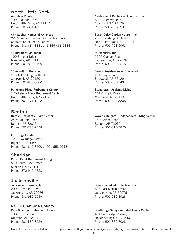#### North Little Rock Audubon Pointe

100 Audubon Drive North Little Rock, AR 72113 Phone: 501-851-1821

Christopher Homes of Arkansas 22 Retirement Centers Around Arkansas Contact: Saint John's Center Phone: 501-664-1881 or 1-866-486-2136

\*Elmcroft of Maumelle 100 Bringler Drive Maumelle, AR 72113 Phone: 501-850-0400

\*Elmcroft of Sherwood \*9880 Brockington Road Sherwood, AR 72120 Phone: 501-835-6000

#### Parkstone Place Retirement Center 1 Parkstone Place Retirement Center North Little Rock, AR 72116 Phone: 501-771-1228

### Benton

Benton Residential Care Center 2408 Military Road Benton, AR 72015 Phone: 501-778-2838

Fox Ridge Estate 4216 Fox Ridge Estate Bryant, AR 72089 Phone: 501-847-3400 or 501-653-0113

### Sheridan

Crown Point Retirement Living 510 South Rose Street Sheridan, AR 72150 Phone: 870-942-4623

### Jacksonville

Jacksonville Towers, Inc. 200 S Hospital Drive Jacksonville, AR 72076 Phone: 501-982-5949

#### RCF – Cleburne County

Pine Mountain Retirement Home 1089 Bivins Road Quitman, AR 72131 Phone: 501-589-3529

\*Retirement Centers of Arkansas, Inc. 8900 Highway 107 Sherwood, AR 72120 Phone: 501-835-5931

Sarah Daisy Garden Courts, Inc. 2600 Pershing Boulevard

North Little Rock, AR 72114 Phone: 501-758-5961

#### \*Greenbriar, Inc.

1500 Graham Road Jacksonville, AR 72076 Phone: 501-982-5545

#### Senior Residencies of Sherwood

201 Teague Lane Sherwood, AR 72120 Phone: 501-835-3434

#### Stonehaven Assisted Living

101 Olympic Drive Maumelle, AR 72113 Phone: 501-803-3335

Waverly Heights – Independent Living Center 3400 Alcoa Road Benton, AR 72015 Phone: 501-315-7820

Senior Residents – Jacksonville 818 East Martin Street Jacksonville, AR 72076

Phone: 501-982-3928

Phone: 501-362-7023

Southridge Village Assisted Living Center 401 Southridge Parkway Heber Springs, AR 72543

Note: For a complete list of RCFs in your area, call your local Area Agency on Aging. See pages 10-11 in this document.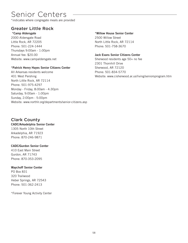## Senior Centers

\*indicates where congregate meals are provided

## Greater Little Rock

#### \*Camp Aldersgate

2000 Aldersgate Road Little Rock, AR 72205 Phone: 501-224-1444 Thursdays 9:00am - 1:00pm Annual fee: \$20.00 Website: www.campaldersgate.net

#### \*Patrick Henry Hayes Senior Citizens Center

All Arkansas residents welcome 401 West Pershing North Little Rock, AR 72114 Phone: 501-975-4297 Monday - Friday, 8:00am - 4:30pm Saturday, 9:00am - 1:00pm Sunday, 2:00pm - 5:00pm Website: www.northlr.org/departments/senior-citizens.asp

#### \*Willow House Senior Center

2500 Willow Street North Little Rock, AR 72114 Phone: 501-758-3670

#### Jack Evans Senior Citizens Center

Sherwood residents age 50+ no fee 2301 Thornhill Drive Sherwood, AR 72120 Phone: 501-834-5770 Website: www.cisherwood.ar.us/living/seniorsprogram.htm

## Clark County

#### CADC/Arkadelphia Senior Center 1305 North 10th Street Arkadelphia, AR 71923

Phone: 870-246-9871

#### CADC/Gurdon Senior Center

410 East Main Street Gurdon, AR 71743 Phone: 870-353-2095

#### Waychoff Senior Center

PO Box 831 320 Trailwood Heber Springs, AR 72543 Phone: 501-362-2413

\*Forever Young Activity Center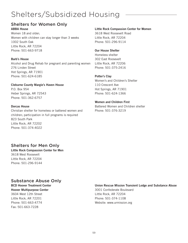## Shelters/Subsidized Housing

## Shelters for Women Only

ABBA House Women 18 and older; Women with children can stay longer than 3 weeks 1002 South Oak Little Rock, AR 72204 Phone: 501-663-9718

#### Barb's House

Alcohol and Drug Rehab for pregnant and parenting women 276 Linden Street Hot Springs, AR 71901 Phone: 501-624-6185

Cleburne County Margie's Haven House P.O. Box 954 Heber Springs, AR 72543 Phone: 501-362-6757

#### Dorcas House

Christian shelter for homeless or battered women and children; participation in full programs is required 823 South Park Little Rock, AR 72202 Phone: 501-374-4022

#### Little Rock Compassion Center for Women

3618 West Roosevelt Road Little Rock, AR 72204 Phone: 501-296-9114

#### Our House Shelter

Homeless shelter 302 East Roosevelt Little Rock, AR 72206 Phone: 501-375-2416

#### Potter's Clay

Women's and Children's Shelter 110 Crescent Ave Hot Springs, AR 71901 Phone: 501-624-1366

### Women and Children First

Battered Women and Children shelter Phone: 501-376-3219

## Shelters for Men Only

Little Rock Compassion Center for Men 3618 West Roosevelt Little Rock, AR 72204 Phone: 501-296-9144

## Substance Abuse Only

#### BCD Hoover Treatment Center Hoover Multipurpose Center 3604 West 12th Street Little Rock, AR 72201 Phone: 501-663-4774 Fax: 501-663-7228

#### Union Rescue Mission Transient Lodge and Substance Abuse

3001 Confederate Boulevard Little Rock, AR 72204 Phone: 501-374-1108 Website: www.urmission.org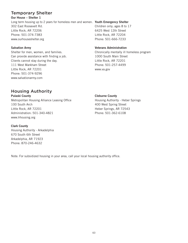## Temporary Shelter

Our House – Shelter 1

Long term housing up to 2 years for homeless men and women. Youth Emergency Shelter 302 East Roosevelt Rd. Little Rock, AR 72206 Phone: 501-374-7383 www.ourhouseshelter.org

#### Salvation Army

Shelter for men, women, and families. Can provide assistance with finding a job. Clients cannot stay during the day. 111 West Markham Street Little Rock, AR 72201 Phone: 501-374-9296 www.salvationarmy.com

Children only; ages 8 to 17 6425 West 12th Street Little Rock, AR 72204 Phone: 501-666-7233

#### Veterans Administration

Chronically mentally ill homeless program 1000 South Main Street Little Rock, AR 72201 Phone: 501-257-4499 www.va.gov

## Housing Authority

Pulaski County Metropolitan Housing Alliance Leasing Office 100 South Arch Little Rock, AR 72201 Administration: 501-340-4821 www.lrhousing.org

#### Clark County

Housing Authority - Arkadelphia 670 South 6th Street Arkadelphia, AR 71923 Phone: 870-246-4632

Cleburne County

Housing Authority - Heber Springs 400 West Spring Street Heber Springs, AR 72543 Phone: 501-362-6108

Note: For subsidized housing in your area, call your local housing authority office.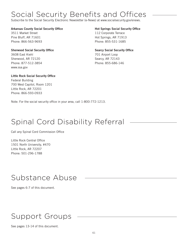## Social Security Benefits and Offices

Subscribe to the Social Security Electronic Newsletter (e-News) at www.socialsecurity.gov/enews.

#### Arkansas County Social Security Office

3511 Market Street Pine Bluff, AR 71601 Phone: 866-563-9693

Sherwood Social Security Office 3608 East Kiehl Sherwood, AR 72120 Phone: 877-512-3854 www.ssa.gov

#### Little Rock Social Security Office

Federal Building 700 West Capitol, Room 1201 Little Rock, AR 72201 Phone: 866-593-0933

#### Hot Springs Social Security Office

112 Corporate Terrace Hot Springs, AR 71913 Phone: 855-531-1685

### Searcy Social Security Office

701 Airport Loop Searcy, AR 72143 Phone: 855-686-146

Note: For the social security office in your area, call 1-800-772-1213.

## Spinal Cord Disability Referral

Call any Spinal Cord Commission Office

Little Rock Central Office 1501 North University, #470 Little Rock, AR 72207 Phone: 501-296-1788

## Substance Abuse

See pages 6-7 of this document.

## Support Groups

See pages 13-14 of this document.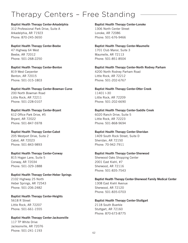## Therapy Centers – Free Standing

#### Baptist Health Therapy Center-Arkadelphia

312 Professional Park Drive, Suite A Arkadelphia, AR 71923 Phone: 870-245-3650

Baptist Health Therapy Center-Beebe 47 Highway 64 West Beebe, AR 72012 Phone: 501-268-2250

Baptist Health Therapy Center-Benton 819 West Carpenter Benton, AR 72015 Phone: 501-315-1803

## Baptist Health Therapy Center-Bowman Curve

200 North Bowman Road Little Rock, AR 72211 Phone: 501-228-0107

#### Baptist Health Therapy Center-Bryant 612 Office Park Drive, #5 Bryant, AR 72022

Phone: 501-847-5978

#### Baptist Health Therapy Center-Cabot

205 Westport Drive, Suite 2 Cabot, AR 72023 Phone: 501-843-9893

### Baptist Health Therapy Center-Conway

815 Hogan Lane, Suite 5 Conway, AR 72034 Phone: 501-329-1888

#### Baptist Health Therapy Center-Heber Springs

2102 Highway 25 North Heber Springs, AR 72543 Phone: 501-206-2482

#### Baptist Health Therapy Center-Heights 5618 R Street Little Rock, AR 72207 Phone: 501-661-1555

### Baptist Health Therapy Center-Jacksonville

117 TP White Drive Jacksonville, AR 72076 Phone: 501-241-1193

#### Baptist Health Therapy Center-Lonoke

1306 North Center Street Lonoke, AR 72086 Phone: 501-676-9466

#### Baptist Health Therapy Center-Maumelle 1701 Club Manor, Suite 3

Maumelle, AR 72113 Phone: 501-851-8504

#### Baptist Health Therapy Center-North Rodney Parham 4200 North Rodney Parham Road Little Rock, AR 72212 Phone: 501-202-6767

Baptist Health Therapy Center-Otter Creek 11401 I-30 Little Rock, AR 72209 Phone: 501-202-6690

#### Baptist Health Therapy Center-Saddle Creek 6020 Ranch Drive, Suite 5

Little Rock, AR 72223 Phone: 501-868-9694

### Baptist Health Therapy Center-Sheridan

1409 South Rock Street, Suite D Sheridan, AR 72150 Phone: 70-942-7911

#### Baptist Health Therapy Center-Sherwood

Sherwood Oaks Shopping Center 2001 East Kiehl, #7 Sherwood, AR 72116 Phone: 501-835-7543

#### Baptist Health Therapy Center-Sherwood Family Medical Center 1308 East Kiehl Avenue Sherwood, AR 72120 Phone: 501-835-0703

#### Baptist Health Therapy Center-Stuttgart

2118 South Buerkle Stuttgart, AR 72160 Phone: 870-673-8775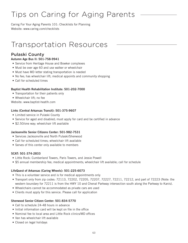## Tips on Caring for Aging Parents

Caring For Your Aging Parents 101: Checklists for Planning Website: www.caring.com/checklists

## Transportation Resources

## Pulaski County

#### Autumn Age Bus II: 501-758-9941

- Service from Heritage House and Bowker complexes
- Must be over age 60 and use walker or wheelchair
- Must have MD letter stating transportation is needed
- No fee; has wheelchair lift; medical appoints and community shopping
- Call for scheduled times

#### Baptist Health Rehabilitation Institute: 501-202-7000

- Transportation for their patients only
- Wheelchair lift; no fee

Website: www.baptist-heatlh.com

#### Links (Central Arkansas Transit): 501-375-9607

- Limited service in Pulaski County
- Service for aged and disabled; must apply for card and be certified in advance
- \$2.50/one way; wheelchair lift available

#### Jacksonville Senior Citizens Center: 501-982-7531

- Services Jacksonville and North Pulaski/Sherwood
- Call for scheduled times; wheelchair lift available
- Serves of this center only available to members

#### SCAT: 501-374-2833

- Little Rock: Cumberland Towers, Paris Towers, and Jessie Powell
- \$5 annual membership fee; medical appointments; wheelchair lift available; call for schedule

#### LifeQuest of Arkansas (Caring Wheels): 501-225-6073

- This is a volunteer service and is for medical appointments only
- Transport only from zip codes: 72113, 72202, 72205, 72207, 72227, 72211, 72212, and part of 72223 (Note: the western boundary for 72211 is from the HWY 10 and Chenal Parkway intersection south along the Parkway to Kanis).
- Wheelchairs cannot be accommodated as private cars are used
- Clients must apply for this service. Please call for application

#### Sherwood Senior Citizen Center: 501-834-5770

- Call to schedule 24-48 hours in advance
- Initial information card will be kept on file in the office
- Nominal fee to local area and Little Rock clinics/MD offices
- Van has wheelchair lift available
- Closed on legal holidays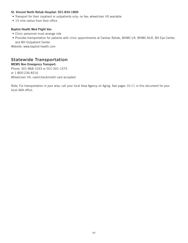#### St. Vincent North Rehab Hospital: 501-834-1800

- Transport for their inpatient or outpatients only; no fee; wheelchair lift available
- 15 mile radius from their office

#### Baptist Health Med Flight Van

- Clinic personnel must arrange ride
- Provides transportation for patients with clinic appointments at Cardiac Rehab, BHMC-LR, BHMC-NLR, BH Eye Center, and BH Outpatient Center

Website: www.baptist-health.com

### Statewide Transportation

MEMS Non Emergency Transport: Phone: 501-868-1033 or 501-301-1475 or 1-800-236-8316 Wheelchair lift; cash/check/credit card accepted

Note: For transportation in your area, call your local Area Agency on Aging. See pages 10-11 in this document for your local AAA office.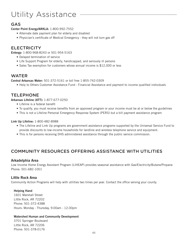## Utility Assistance

### GAS

Center Point Energy/ARKLA: 1-800-992-7552

- Alternate date payment plan for elderly and disabled
- Physician's certificate of Medical Emergency they will not turn gas off

## **ELECTRICITY**

Entergy: 1-800-968-8243 or 501-954-5163

- Delayed termination of service
- Life Support Program for elderly, handicapped, and seriously ill persons
- Sales Tax exemption for customers whose annual income is \$12,000 or less

### WATER

Central Arkansas Water: 501-372-5161 or toll free 1-855-742-0309

• Help to Others Customer Assistance Fund - Financial Assistance and payment to income qualified individuals

### TELEPHONE

Arkansas Lifeline (ATT): 1-877-677-0250

- Lifeline is a federal benefit
- To qualify, you must receive benefits from an approved program or your income must be at or below the guidelines
- This is not a Lifeline Personal Emergency Response System (PERS) but a bill payment assistance program

#### Link Up Lifeline: 1-800-482-8988

- The Lifeline and Link Up programs are government assistance programs supported by the Universal Service Fund to provide discounts to low-income households for landline and wireless telephone service and equipment.
- This is for persons receiving DHS administered assistance through the public service commission.

## COMMUNITY RESOURCES OFFERING ASSISTANCE WITH UTILITIES

#### Arkadelphia Area

Low Income Home Energy Assistant Program (LIHEAP) provides seasonal assistance with Gas/Electricity/Butane/Propane Phone: 501-682-1001

#### Little Rock Area

Community Action Programs will help with utilities two times per year. Contact the office serving your county.

#### Helping Hand

1601 Marshall Street Little Rock, AR 72202 Phone: 501-372-4388 Hours: Monday - Thursday, 9:00am - 12:30pm

#### Watershed Human and Community Development

3701 Springer Boulevard Little Rock, AR 72206 Phone: 501-378-0176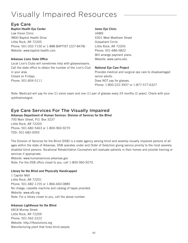## Visually Impaired Resources

## Eye Care

Baptist Health Eye Center

Low Vision Clinic 9800 Baptist Health Drive Little Rock, AR 72205 Phone: 501-202-7150 or 1-888-BAPTIST (227-8478) Website: www.baptist-health.com

#### Arkansas Lions State Office

Local Lion's Clubs will sometimes help with glasses/exams. Call the state office to obtain the number of the Lion's Club in your area. Closed on Fridays. Phone: 501-834-5111

#### Jones Eye Clinic

UAMS 4301 West Markham Street Outpatient Circle Little Rock, AR 72205 Phone: 501-686-5822 Will arrange payment plans. Website: www.uams.edu

#### National Eye Care Project

Provides medical and surgical eye care to disadvantaged senior adults. Does NOT pay for glasses. Phone: 1-800-222-3937 or 1-877-577-6327

Note: Medicaid will pay for one (1) vision exam and one (1) pair of glasses every 24 months (2 years). Check with your ophthalmologist.

## Eye Care Services For The Visually Impaired

#### Arkansas Department of Human Services- Division of Services for the Blind 700 Main Street, P.O. Box 3237 Little Rock, AR 72203 Phone: 501-682-5463 or 1-800-960-9270 TDD: 501-682-0093

The Division of Services for the Blind (DSB) is a state agency serving blind and severely visually impaired persons of all ages within the state of Arkansas. DSB operates under and Order of Selection giving service priority to the most severely disabled blind persons. Vocational Rehabilitation Counselors will evaluate patients in their homes and provide training or services if appropriate.

Website: www.humanservices.arkansas.gov Note: For the DSB office closet to you, call 1-800-960-9270.

#### Library for the Blind and Physically Handicapped

1 Capitol Mall Little Rock, AR 72201 Phone: 501-682-1155 or 1-866-660-0885 No charge; cassette machine and catalog of tapes provided. Website: www.afb.org Note: For a library closer to you, call the above number.

#### Arkansas Lighthouse for the Blind

6818 Murray Street Little Rock, AR 72209 Phone: 501-562-2222 Website: http://ifbsolutions.org Manufacturing plant that hires blind people.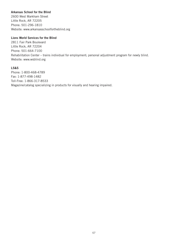#### Arkansas School for the Blind

2600 West Markham Street Little Rock, AR 72205 Phone: 501-296-1810 Website: www.arkansasschoolfortheblind.org

#### Lions World Services for the Blind

2811 Fair Park Boulevard Little Rock, AR 72204 Phone: 501-664-7100 Rehabilitation Center – trains individual for employment; personal adjustment program for newly blind. Website: www.wsblind.org

#### LS&S

Phone: 1-800-468-4789 Fax: 1-877-498-1482 Toll-Free: 1-866-317-8533 Magazine/catalog specializing in products for visually and hearing impaired.